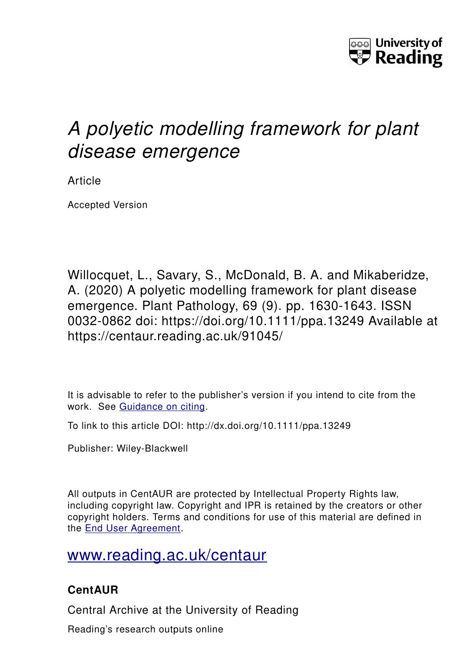

# *A polyetic modelling framework for plant disease emergence*

Article

Accepted Version

Willocquet, L., Savary, S., McDonald, B. A. and Mikaberidze, A. (2020) A polyetic modelling framework for plant disease emergence. Plant Pathology, 69 (9). pp. 1630-1643. ISSN 0032-0862 doi: https://doi.org/10.1111/ppa.13249 Available at https://centaur.reading.ac.uk/91045/

It is advisable to refer to the publisher's version if you intend to cite from the work. See [Guidance on citing.](http://centaur.reading.ac.uk/71187/10/CentAUR%20citing%20guide.pdf)

To link to this article DOI: http://dx.doi.org/10.1111/ppa.13249

Publisher: Wiley-Blackwell

All outputs in CentAUR are protected by Intellectual Property Rights law, including copyright law. Copyright and IPR is retained by the creators or other copyright holders. Terms and conditions for use of this material are defined in the [End User Agreement.](http://centaur.reading.ac.uk/licence)

[www.reading.ac.uk/centaur](http://www.reading.ac.uk/centaur)

# **CentAUR**

Central Archive at the University of Reading

Reading's research outputs online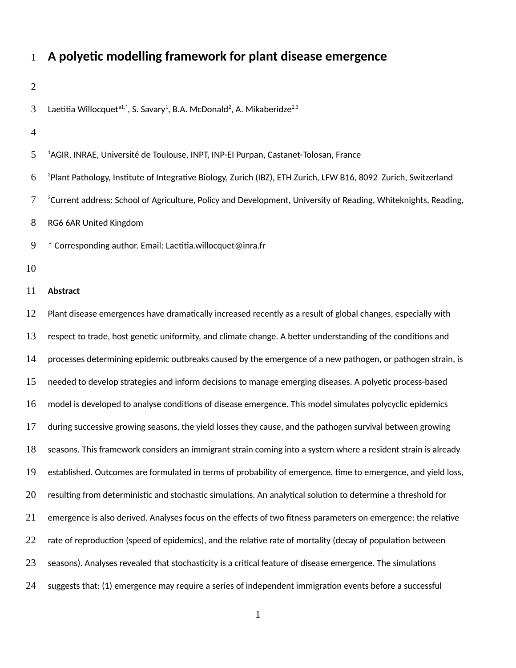## **A polyetic modelling framework for plant disease emergence**  1

| $\overline{2}$ |                                                                                                                             |
|----------------|-----------------------------------------------------------------------------------------------------------------------------|
| 3              | Laetitia Willocquet <sup>a1,*</sup> , S. Savary <sup>1</sup> , B.A. McDonald <sup>2</sup> , A. Mikaberidze <sup>2,3</sup>   |
| 4              |                                                                                                                             |
| 5              | <sup>1</sup> AGIR, INRAE, Université de Toulouse, INPT, INP-EI Purpan, Castanet-Tolosan, France                             |
| 6              | <sup>2</sup> Plant Pathology, Institute of Integrative Biology, Zurich (IBZ), ETH Zurich, LFW B16, 8092 Zurich, Switzerland |
| 7              | <sup>3</sup> Current address: School of Agriculture, Policy and Development, University of Reading, Whiteknights, Reading,  |
| 8              | RG6 6AR United Kingdom                                                                                                      |
| $\overline{9}$ | Corresponding author. Email: Laetitia.willocquet@inra.fr                                                                    |
| 10             |                                                                                                                             |
| 11             | Abstract                                                                                                                    |
| 12             | Plant disease emergences have dramatically increased recently as a result of global changes, especially with                |
| 13             | respect to trade, host genetic uniformity, and climate change. A better understanding of the conditions and                 |
| 14             | processes determining epidemic outbreaks caused by the emergence of a new pathogen, or pathogen strain, is                  |
| 15             | needed to develop strategies and inform decisions to manage emerging diseases. A polyetic process-based                     |
| 16             | model is developed to analyse conditions of disease emergence. This model simulates polycyclic epidemics                    |
| 17             | during successive growing seasons, the yield losses they cause, and the pathogen survival between growing                   |
| 18             | seasons. This framework considers an immigrant strain coming into a system where a resident strain is already               |
| 19             | established. Outcomes are formulated in terms of probability of emergence, time to emergence, and yield loss,               |
| 20             | resulting from deterministic and stochastic simulations. An analytical solution to determine a threshold for                |
| 21             | emergence is also derived. Analyses focus on the effects of two fitness parameters on emergence: the relative               |
| 22             | rate of reproduction (speed of epidemics), and the relative rate of mortality (decay of population between                  |
| 23             | seasons). Analyses revealed that stochasticity is a critical feature of disease emergence. The simulations                  |
| 24             | suggests that: (1) emergence may require a series of independent immigration events before a successful                     |
|                |                                                                                                                             |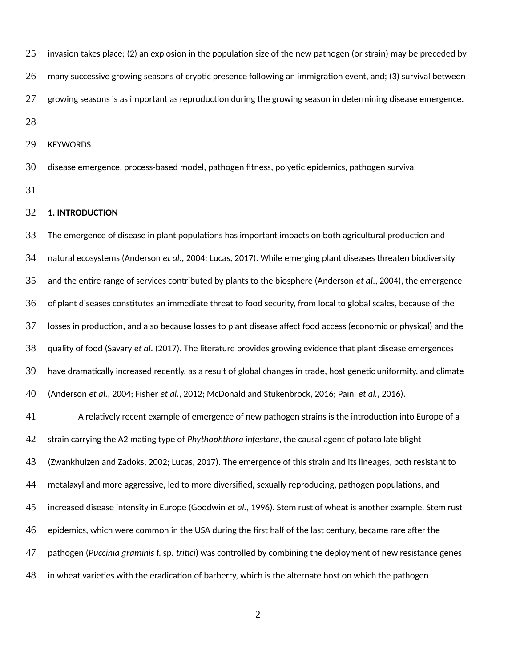invasion takes place; (2) an explosion in the population size of the new pathogen (or strain) may be preceded by many successive growing seasons of cryptic presence following an immigration event, and; (3) survival between growing seasons is as important as reproduction during the growing season in determining disease emergence. 25 26 27

28

**KEYWORDS** 29

disease emergence, process-based model, pathogen fitness, polyetic epidemics, pathogen survival 30

31

#### **1. INTRODUCTION** 32

The emergence of disease in plant populations has important impacts on both agricultural production and natural ecosystems (Anderson *et al*., 2004; Lucas, 2017). While emerging plant diseases threaten biodiversity and the entire range of services contributed by plants to the biosphere (Anderson *et al*., 2004), the emergence of plant diseases constitutes an immediate threat to food security, from local to global scales, because of the losses in production, and also because losses to plant disease affect food access (economic or physical) and the quality of food (Savary *et al*. (2017). The literature provides growing evidence that plant disease emergences have dramatically increased recently, as a result of global changes in trade, host genetic uniformity, and climate (Anderson *et al.*, 2004; Fisher *et al.*, 2012; McDonald and Stukenbrock, 2016; Paini *et al.*, 2016). 33 34 35 36 37 38 39 40

A relatively recent example of emergence of new pathogen strains is the introduction into Europe of a strain carrying the A2 mating type of *Phythophthora infestans*, the causal agent of potato late blight (Zwankhuizen and Zadoks, 2002; Lucas, 2017). The emergence of this strain and its lineages, both resistant to metalaxyl and more aggressive, led to more diversified, sexually reproducing, pathogen populations, and increased disease intensity in Europe (Goodwin *et al.*, 1996). Stem rust of wheat is another example. Stem rust epidemics, which were common in the USA during the first half of the last century, became rare after the pathogen (*Puccinia graminis* f. sp. *tritici*) was controlled by combining the deployment of new resistance genes in wheat varieties with the eradication of barberry, which is the alternate host on which the pathogen 41 42 43 44 45 46 47 48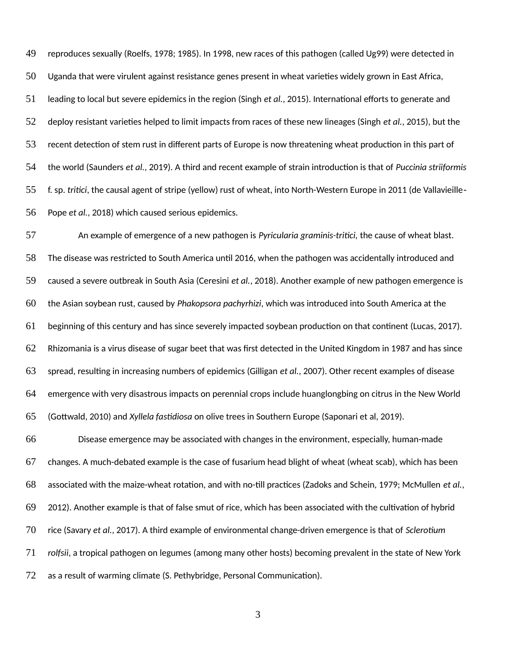reproduces sexually (Roelfs, 1978; 1985). In 1998, new races of this pathogen (called Ug99) were detected in Uganda that were virulent against resistance genes present in wheat varieties widely grown in East Africa, leading to local but severe epidemics in the region (Singh *et al.*, 2015). International efforts to generate and deploy resistant varieties helped to limit impacts from races of these new lineages (Singh *et al.*, 2015), but the recent detection of stem rust in different parts of Europe is now threatening wheat production in this part of the world (Saunders *et al.*, 2019). A third and recent example of strain introduction is that of *Puccinia striiformis* f. sp. *tritici*, the causal agent of stripe (yellow) rust of wheat, into North-Western Europe in 2011 (de Vallavieille‐ Pope *et al.*, 2018) which caused serious epidemics. 49 50 51 52 53 54 55 56

An example of emergence of a new pathogen is *Pyricularia graminis-tritici,* the cause of wheat blast. The disease was restricted to South America until 2016, when the pathogen was accidentally introduced and caused a severe outbreak in South Asia (Ceresini *et al.*, 2018). Another example of new pathogen emergence is the Asian soybean rust, caused by *Phakopsora pachyrhizi*, which was introduced into South America at the beginning of this century and has since severely impacted soybean production on that continent (Lucas, 2017). Rhizomania is a virus disease of sugar beet that was first detected in the United Kingdom in 1987 and has since spread, resulting in increasing numbers of epidemics (Gilligan *et al.*, 2007). Other recent examples of disease emergence with very disastrous impacts on perennial crops include huanglongbing on citrus in the New World (Gottwald, 2010) and *Xyllela fastidiosa* on olive trees in Southern Europe (Saponari et al, 2019). 57 58 59 60 61 62 63 64 65

Disease emergence may be associated with changes in the environment, especially, human-made changes. A much-debated example is the case of fusarium head blight of wheat (wheat scab), which has been associated with the maize-wheat rotation, and with no-till practices (Zadoks and Schein, 1979; McMullen *et al.*, 2012). Another example is that of false smut of rice, which has been associated with the cultivation of hybrid rice (Savary *et al.*, 2017). A third example of environmental change-driven emergence is that of *Sclerotium rolfsii*, a tropical pathogen on legumes (among many other hosts) becoming prevalent in the state of New York as a result of warming climate (S. Pethybridge, Personal Communication). 66 67 68 69 70 71 72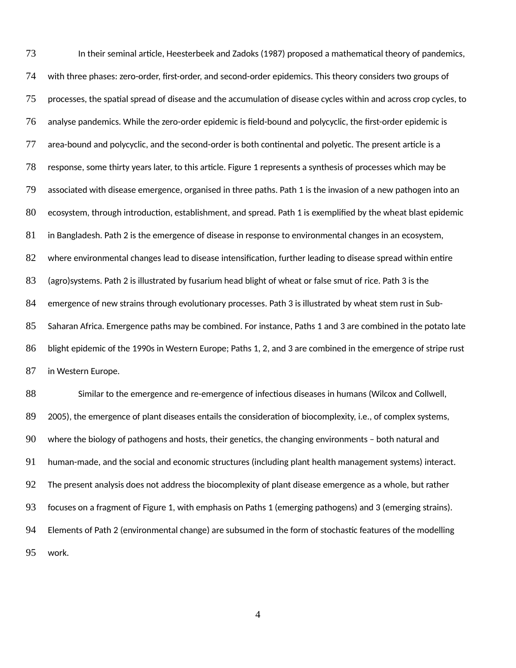In their seminal article, Heesterbeek and Zadoks (1987) proposed a mathematical theory of pandemics, with three phases: zero-order, first-order, and second-order epidemics. This theory considers two groups of processes, the spatial spread of disease and the accumulation of disease cycles within and across crop cycles, to analyse pandemics. While the zero-order epidemic is field-bound and polycyclic, the first-order epidemic is area-bound and polycyclic, and the second-order is both continental and polyetic. The present article is a response, some thirty years later, to this article. Figure 1 represents a synthesis of processes which may be associated with disease emergence, organised in three paths. Path 1 is the invasion of a new pathogen into an ecosystem, through introduction, establishment, and spread. Path 1 is exemplified by the wheat blast epidemic in Bangladesh. Path 2 is the emergence of disease in response to environmental changes in an ecosystem, where environmental changes lead to disease intensification, further leading to disease spread within entire (agro)systems. Path 2 is illustrated by fusarium head blight of wheat or false smut of rice. Path 3 is the emergence of new strains through evolutionary processes. Path 3 is illustrated by wheat stem rust in Sub-Saharan Africa. Emergence paths may be combined. For instance, Paths 1 and 3 are combined in the potato late blight epidemic of the 1990s in Western Europe; Paths 1, 2, and 3 are combined in the emergence of stripe rust in Western Europe. Similar to the emergence and re-emergence of infectious diseases in humans (Wilcox and Collwell, 2005), the emergence of plant diseases entails the consideration of biocomplexity, i.e., of complex systems, where the biology of pathogens and hosts, their genetics, the changing environments – both natural and human-made, and the social and economic structures (including plant health management systems) interact. The present analysis does not address the biocomplexity of plant disease emergence as a whole, but rather focuses on a fragment of Figure 1, with emphasis on Paths 1 (emerging pathogens) and 3 (emerging strains). Elements of Path 2 (environmental change) are subsumed in the form of stochastic features of the modelling work. 73 74 75 76 77 78 79 80 81 82 83 84 85 86 87 88 89 90 91 92 93 94 95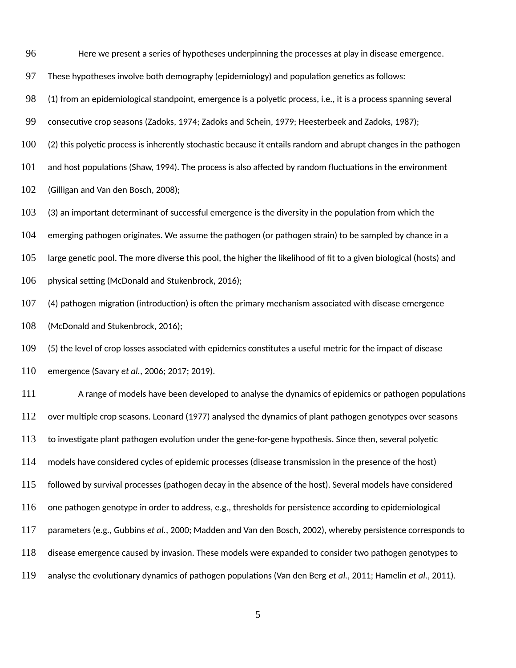- Here we present a series of hypotheses underpinning the processes at play in disease emergence. 96
- These hypotheses involve both demography (epidemiology) and population genetics as follows: 97
- (1) from an epidemiological standpoint, emergence is a polyetic process, i.e., it is a process spanning several 98
- consecutive crop seasons (Zadoks, 1974; Zadoks and Schein, 1979; Heesterbeek and Zadoks, 1987); 99
- (2) this polyetic process is inherently stochastic because it entails random and abrupt changes in the pathogen 100
- and host populations (Shaw, 1994). The process is also affected by random fluctuations in the environment 101
- (Gilligan and Van den Bosch, 2008); 102
- (3) an important determinant of successful emergence is the diversity in the population from which the 103
- emerging pathogen originates. We assume the pathogen (or pathogen strain) to be sampled by chance in a 104
- large genetic pool. The more diverse this pool, the higher the likelihood of fit to a given biological (hosts) and 105
- physical setting (McDonald and Stukenbrock, 2016); 106
- (4) pathogen migration (introduction) is often the primary mechanism associated with disease emergence (McDonald and Stukenbrock, 2016); 107 108
- (5) the level of crop losses associated with epidemics constitutes a useful metric for the impact of disease 109
- emergence (Savary *et al.*, 2006; 2017; 2019). 110
- A range of models have been developed to analyse the dynamics of epidemics or pathogen populations over multiple crop seasons. Leonard (1977) analysed the dynamics of plant pathogen genotypes over seasons to investigate plant pathogen evolution under the gene-for-gene hypothesis. Since then, several polyetic models have considered cycles of epidemic processes (disease transmission in the presence of the host) followed by survival processes (pathogen decay in the absence of the host). Several models have considered one pathogen genotype in order to address, e.g., thresholds for persistence according to epidemiological parameters (e.g., Gubbins *et al.*, 2000; Madden and Van den Bosch, 2002), whereby persistence corresponds to disease emergence caused by invasion. These models were expanded to consider two pathogen genotypes to analyse the evolutionary dynamics of pathogen populations (Van den Berg *et al.*, 2011; Hamelin *et al.*, 2011). 111 112 113 114 115 116 117 118 119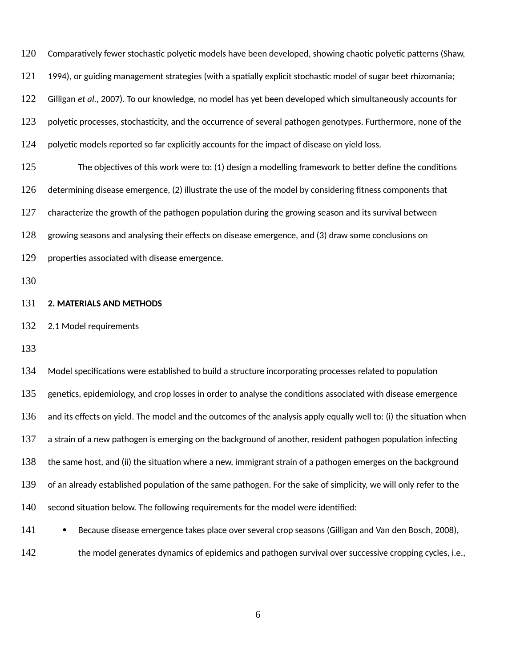| 120 | Comparatively fewer stochastic polyetic models have been developed, showing chaotic polyetic patterns (Shaw,       |  |  |  |  |
|-----|--------------------------------------------------------------------------------------------------------------------|--|--|--|--|
| 121 | 1994), or guiding management strategies (with a spatially explicit stochastic model of sugar beet rhizomania;      |  |  |  |  |
| 122 | Gilligan et al., 2007). To our knowledge, no model has yet been developed which simultaneously accounts for        |  |  |  |  |
| 123 | polyetic processes, stochasticity, and the occurrence of several pathogen genotypes. Furthermore, none of the      |  |  |  |  |
| 124 | polyetic models reported so far explicitly accounts for the impact of disease on yield loss.                       |  |  |  |  |
| 125 | The objectives of this work were to: (1) design a modelling framework to better define the conditions              |  |  |  |  |
| 126 | determining disease emergence, (2) illustrate the use of the model by considering fitness components that          |  |  |  |  |
| 127 | characterize the growth of the pathogen population during the growing season and its survival between              |  |  |  |  |
| 128 | growing seasons and analysing their effects on disease emergence, and (3) draw some conclusions on                 |  |  |  |  |
| 129 | properties associated with disease emergence.                                                                      |  |  |  |  |
| 130 |                                                                                                                    |  |  |  |  |
| 131 | 2. MATERIALS AND METHODS                                                                                           |  |  |  |  |
| 132 | 2.1 Model requirements                                                                                             |  |  |  |  |
| 133 |                                                                                                                    |  |  |  |  |
| 134 | Model specifications were established to build a structure incorporating processes related to population           |  |  |  |  |
| 135 | genetics, epidemiology, and crop losses in order to analyse the conditions associated with disease emergence       |  |  |  |  |
| 136 | and its effects on yield. The model and the outcomes of the analysis apply equally well to: (i) the situation when |  |  |  |  |
| 137 | a strain of a new pathogen is emerging on the background of another, resident pathogen population infecting        |  |  |  |  |
| 138 | the same host, and (ii) the situation where a new, immigrant strain of a pathogen emerges on the background        |  |  |  |  |
| 139 | of an already established population of the same pathogen. For the sake of simplicity, we will only refer to the   |  |  |  |  |
| 140 | second situation below. The following requirements for the model were identified:                                  |  |  |  |  |
|     |                                                                                                                    |  |  |  |  |

the model generates dynamics of epidemics and pathogen survival over successive cropping cycles, i.e., 142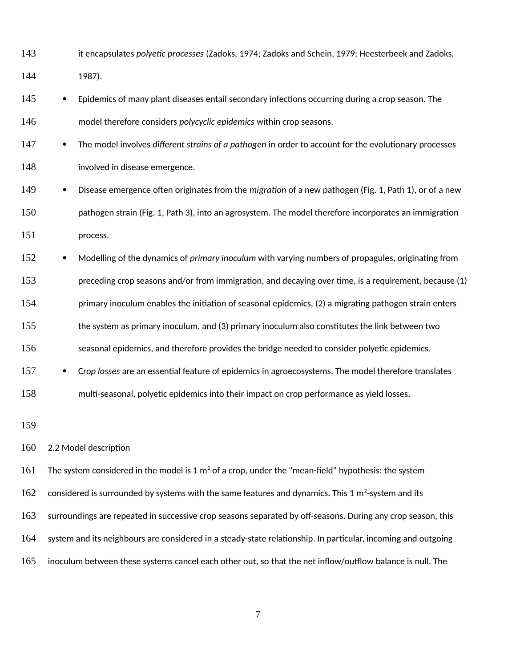| 143 | it encapsulates polyetic processes (Zadoks, 1974; Zadoks and Schein, 1979; Heesterbeek and Zadoks, |
|-----|----------------------------------------------------------------------------------------------------|
| 144 | 1987).                                                                                             |

- Epidemics of many plant diseases entail secondary infections occurring during a crop season. The model therefore considers *polycyclic epidemics* within crop seasons. 145 146
- The model involves *different strains of a pathogen* in order to account for the evolutionary processes involved in disease emergence. 147 148
- Disease emergence often originates from the *migration* of a new pathogen (Fig. 1, Path 1), or of a new pathogen strain (Fig. 1, Path 3), into an agrosystem. The model therefore incorporates an immigration process. 149 150 151
- Modelling of the dynamics of *primary inoculum* with varying numbers of propagules, originating from preceding crop seasons and/or from immigration, and decaying over time, is a requirement, because (1) primary inoculum enables the initiation of seasonal epidemics, (2) a migrating pathogen strain enters the system as primary inoculum, and (3) primary inoculum also constitutes the link between two 152 153 154 155
- seasonal epidemics, and therefore provides the bridge needed to consider polyetic epidemics. 156
- C*rop losses* are an essential feature of epidemics in agroecosystems. The model therefore translates multi-seasonal, polyetic epidemics into their impact on crop performance as yield losses. 157 158

159

2.2 Model description 160

The system considered in the model is 1  $\textsf{m}^{2}$  of a crop, under the "mean-field" hypothesis: the system 161

considered is surrounded by systems with the same features and dynamics. This 1 m<sup>2</sup>-system and its 162

surroundings are repeated in successive crop seasons separated by off-seasons. During any crop season, this 163

- system and its neighbours are considered in a steady-state relationship. In particular, incoming and outgoing 164
- inoculum between these systems cancel each other out, so that the net inflow/outflow balance is null. The 165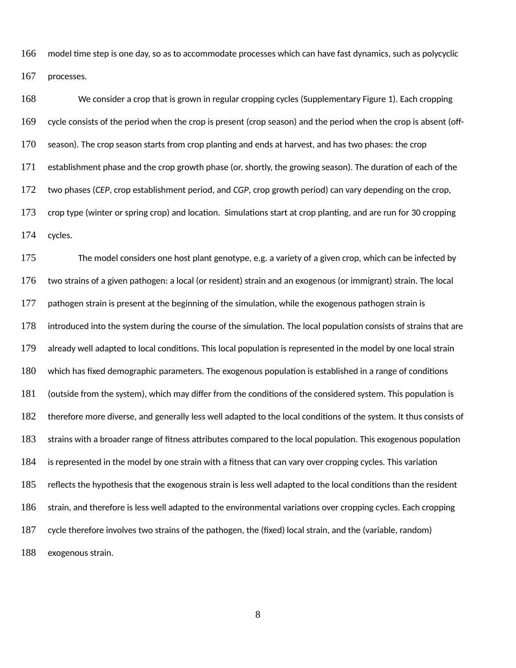model time step is one day, so as to accommodate processes which can have fast dynamics, such as polycyclic processes. 166 167

We consider a crop that is grown in regular cropping cycles (Supplementary Figure 1). Each cropping cycle consists of the period when the crop is present (crop season) and the period when the crop is absent (offseason). The crop season starts from crop planting and ends at harvest, and has two phases: the crop establishment phase and the crop growth phase (or, shortly, the growing season). The duration of each of the two phases (*CEP*, crop establishment period, and *CGP*, crop growth period) can vary depending on the crop, crop type (winter or spring crop) and location. Simulations start at crop planting, and are run for 30 cropping cycles. 168 169 170 171 172 173 174

The model considers one host plant genotype, e.g. a variety of a given crop, which can be infected by two strains of a given pathogen: a local (or resident) strain and an exogenous (or immigrant) strain. The local pathogen strain is present at the beginning of the simulation, while the exogenous pathogen strain is introduced into the system during the course of the simulation. The local population consists of strains that are already well adapted to local conditions. This local population is represented in the model by one local strain which has fixed demographic parameters. The exogenous population is established in a range of conditions (outside from the system), which may differ from the conditions of the considered system. This population is therefore more diverse, and generally less well adapted to the local conditions of the system. It thus consists of strains with a broader range of fitness attributes compared to the local population. This exogenous population is represented in the model by one strain with a fitness that can vary over cropping cycles. This variation reflects the hypothesis that the exogenous strain is less well adapted to the local conditions than the resident strain, and therefore is less well adapted to the environmental variations over cropping cycles. Each cropping cycle therefore involves two strains of the pathogen, the (fixed) local strain, and the (variable, random) exogenous strain. 175 176 177 178 179 180 181 182 183 184 185 186 187 188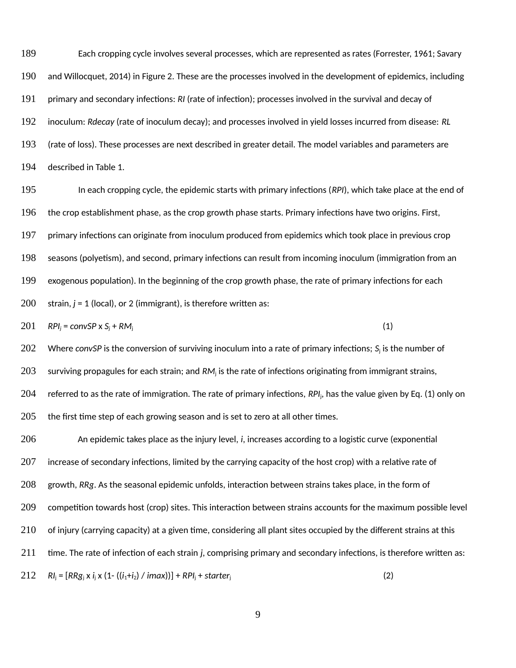Each cropping cycle involves several processes, which are represented as rates (Forrester, 1961; Savary and Willocquet, 2014) in Figure 2. These are the processes involved in the development of epidemics, including primary and secondary infections: *RI* (rate of infection); processes involved in the survival and decay of inoculum: *Rdecay* (rate of inoculum decay); and processes involved in yield losses incurred from disease: *RL* (rate of loss). These processes are next described in greater detail. The model variables and parameters are described in Table 1. 189 190 191 192 193 194

In each cropping cycle, the epidemic starts with primary infections (*RPI*), which take place at the end of the crop establishment phase, as the crop growth phase starts. Primary infections have two origins. First, primary infections can originate from inoculum produced from epidemics which took place in previous crop seasons (polyetism), and second, primary infections can result from incoming inoculum (immigration from an exogenous population). In the beginning of the crop growth phase, the rate of primary infections for each strain, *j* = 1 (local), or 2 (immigrant), is therefore written as: 195 196 197 198 199 200

 $RPI_i = \text{convSP} \times S_i + RM_i$  (1) 201

Where *convSP* is the conversion of surviving inoculum into a rate of primary infections; S<sub>i</sub> is the number of surviving propagules for each strain; and *RM*j is the rate of infections originating from immigrant strains, referred to as the rate of immigration. The rate of primary infections, *RPI*j, has the value given by Eq. (1) only on the first time step of each growing season and is set to zero at all other times. 202 203 204 205

An epidemic takes place as the injury level, *i*, increases according to a logistic curve (exponential increase of secondary infections, limited by the carrying capacity of the host crop) with a relative rate of growth, *RRg*. As the seasonal epidemic unfolds, interaction between strains takes place, in the form of competition towards host (crop) sites. This interaction between strains accounts for the maximum possible level of injury (carrying capacity) at a given time, considering all plant sites occupied by the different strains at this time. The rate of infection of each strain *j*, comprising primary and secondary infections, is therefore written as:  $R|_{i} = [RRg_{i} \times i_{i} \times (1 - ((i_{1} + i_{2}) / imax))] + RPI_{i} + starter_{i}$  (2) 206 207 208 209 210 211 212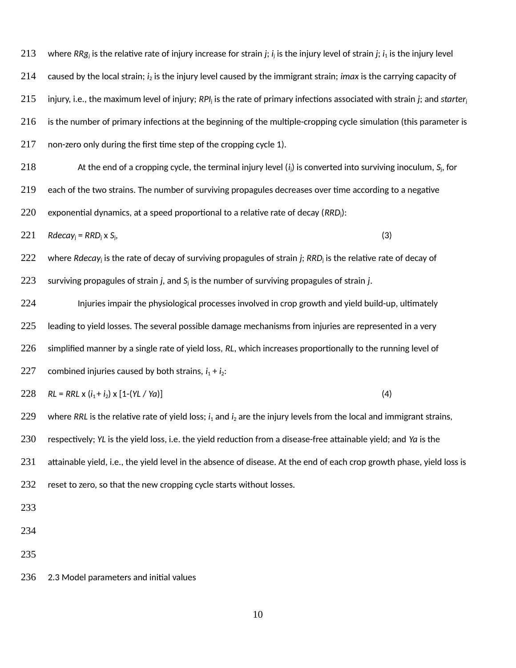| 213 | where $RRg_i$ is the relative rate of injury increase for strain j; $i_i$ is the injury level of strain j; $i_1$ is the injury level  |
|-----|---------------------------------------------------------------------------------------------------------------------------------------|
| 214 | caused by the local strain; i <sub>2</sub> is the injury level caused by the immigrant strain; imax is the carrying capacity of       |
| 215 | injury, i.e., the maximum level of injury; RPI; is the rate of primary infections associated with strain j; and starter;              |
| 216 | is the number of primary infections at the beginning of the multiple-cropping cycle simulation (this parameter is                     |
| 217 | non-zero only during the first time step of the cropping cycle 1).                                                                    |
| 218 | At the end of a cropping cycle, the terminal injury level $(i_i)$ is converted into surviving inoculum, $S_i$ , for                   |
| 219 | each of the two strains. The number of surviving propagules decreases over time according to a negative                               |
| 220 | exponential dynamics, at a speed proportional to a relative rate of decay ( $RRD_i$ ):                                                |
| 221 | (3)<br>$Rdecay_i = RRD_i \times S_i$                                                                                                  |
| 222 | where Rdecay <sub>i</sub> is the rate of decay of surviving propagules of strain j; RRD <sub>i</sub> is the relative rate of decay of |
| 223 | surviving propagules of strain j, and $S_i$ is the number of surviving propagules of strain j.                                        |
| 224 | Injuries impair the physiological processes involved in crop growth and yield build-up, ultimately                                    |
| 225 | leading to yield losses. The several possible damage mechanisms from injuries are represented in a very                               |
| 226 | simplified manner by a single rate of yield loss, RL, which increases proportionally to the running level of                          |
| 227 | combined injuries caused by both strains, $i_1 + i_2$ :                                                                               |
| 228 | (4)<br>$RL = RRL \times (i_1 + i_2) \times [1-(YL / Ya)]$                                                                             |
| 229 | where RRL is the relative rate of yield loss; $i_1$ and $i_2$ are the injury levels from the local and immigrant strains,             |
| 230 | respectively; YL is the yield loss, i.e. the yield reduction from a disease-free attainable yield; and Ya is the                      |
| 231 | attainable yield, i.e., the yield level in the absence of disease. At the end of each crop growth phase, yield loss is                |
| 232 | reset to zero, so that the new cropping cycle starts without losses.                                                                  |
| 233 |                                                                                                                                       |
| 234 |                                                                                                                                       |
| 235 |                                                                                                                                       |
| 236 | 2.3 Model parameters and initial values                                                                                               |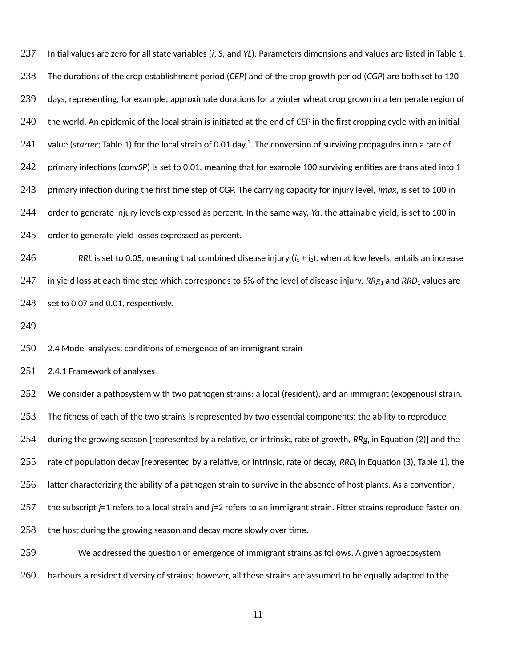Initial values are zero for all state variables (*i*, *S*, and *YL*). Parameters dimensions and values are listed in Table 1. The durations of the crop establishment period (*CEP*) and of the crop growth period (*CGP*) are both set to 120 days, representing, for example, approximate durations for a winter wheat crop grown in a temperate region of the world. An epidemic of the local strain is initiated at the end of *CEP* in the first cropping cycle with an initial value (*starter*; Table 1) for the local strain of 0.01 day-1. The conversion of surviving propagules into a rate of primary infections (*convSP*) is set to 0.01, meaning that for example 100 surviving entities are translated into 1 primary infection during the first time step of CGP. The carrying capacity for injury level, *imax*, is set to 100 in order to generate injury levels expressed as percent. In the same way, *Ya*, the attainable yield, is set to 100 in order to generate yield losses expressed as percent. 237 238 239 240 241 242 243 244 245

*RRL* is set to 0.05, meaning that combined disease injury  $(i_1 + i_2)$ , when at low levels, entails an increase in yield loss at each time step which corresponds to 5% of the level of disease injury. *RRg*<sub>1</sub> and *RRD*<sub>1</sub> values are set to 0.07 and 0.01, respectively. 246 247 248

249

2.4 Model analyses: conditions of emergence of an immigrant strain 250

2.4.1 Framework of analyses 251

We consider a pathosystem with two pathogen strains: a local (resident), and an immigrant (exogenous) strain. The fitness of each of the two strains is represented by two essential components: the ability to reproduce during the growing season [represented by a relative, or intrinsic, rate of growth, *RRg<sup>j</sup>* in Equation (2)] and the rate of population decay [represented by a relative, or intrinsic, rate of decay, *RRDj* in Equation (3), Table 1], the latter characterizing the ability of a pathogen strain to survive in the absence of host plants. As a convention, the subscript *j*=1 refers to a local strain and *j*=2 refers to an immigrant strain. Fitter strains reproduce faster on the host during the growing season and decay more slowly over time. We addressed the question of emergence of immigrant strains as follows. A given agroecosystem 252 253 254 255 256 257 258 259

harbours a resident diversity of strains; however, all these strains are assumed to be equally adapted to the 260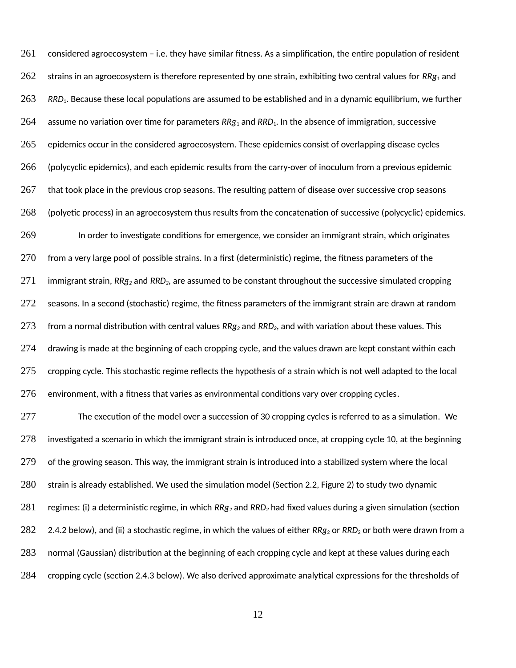considered agroecosystem – i.e. they have similar fitness. As a simplification, the entire population of resident strains in an agroecosystem is therefore represented by one strain, exhibiting two central values for *RRg*<sub>1</sub> and *RRD*1. Because these local populations are assumed to be established and in a dynamic equilibrium, we further assume no variation over time for parameters *RRg*1 and *RRD*1. In the absence of immigration, successive epidemics occur in the considered agroecosystem. These epidemics consist of overlapping disease cycles (polycyclic epidemics), and each epidemic results from the carry-over of inoculum from a previous epidemic that took place in the previous crop seasons. The resulting pattern of disease over successive crop seasons (polyetic process) in an agroecosystem thus results from the concatenation of successive (polycyclic) epidemics. In order to investigate conditions for emergence, we consider an immigrant strain, which originates from a very large pool of possible strains. In a first (deterministic) regime, the fitness parameters of the immigrant strain, *RRg2* and *RRD2*, are assumed to be constant throughout the successive simulated cropping seasons. In a second (stochastic) regime, the fitness parameters of the immigrant strain are drawn at random from a normal distribution with central values *RRg2* and *RRD2*, and with variation about these values. This drawing is made at the beginning of each cropping cycle, and the values drawn are kept constant within each cropping cycle. This stochastic regime reflects the hypothesis of a strain which is not well adapted to the local environment, with a fitness that varies as environmental conditions vary over cropping cycles. 261 262 263 264 265 266 267 268 269 270 271 272 273 274 275 276

The execution of the model over a succession of 30 cropping cycles is referred to as a simulation. We investigated a scenario in which the immigrant strain is introduced once, at cropping cycle 10, at the beginning of the growing season. This way, the immigrant strain is introduced into a stabilized system where the local strain is already established. We used the simulation model (Section 2.2, Figure 2) to study two dynamic regimes: (i) a deterministic regime, in which *RRg2* and *RRD2* had fixed values during a given simulation (section 2.4.2 below), and (ii) a stochastic regime, in which the values of either *RRg*<sub>2</sub> or *RRD*<sub>2</sub> or both were drawn from a normal (Gaussian) distribution at the beginning of each cropping cycle and kept at these values during each cropping cycle (section 2.4.3 below). We also derived approximate analytical expressions for the thresholds of 277 278 279 280 281 282 283 284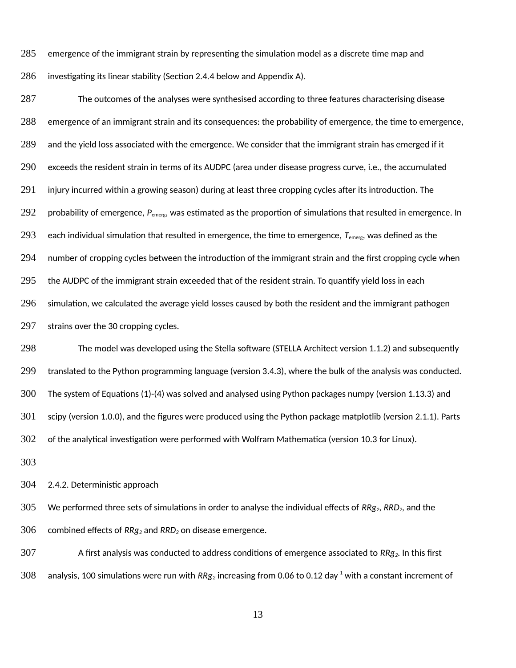emergence of the immigrant strain by representing the simulation model as a discrete time map and investigating its linear stability (Section 2.4.4 below and Appendix A). 285 286

The outcomes of the analyses were synthesised according to three features characterising disease emergence of an immigrant strain and its consequences: the probability of emergence, the time to emergence, and the yield loss associated with the emergence. We consider that the immigrant strain has emerged if it exceeds the resident strain in terms of its AUDPC (area under disease progress curve, i.e., the accumulated injury incurred within a growing season) during at least three cropping cycles after its introduction. The probability of emergence, *P*emerg, was estimated as the proportion of simulations that resulted in emergence. In each individual simulation that resulted in emergence, the time to emergence, *T*emerg, was defined as the number of cropping cycles between the introduction of the immigrant strain and the first cropping cycle when the AUDPC of the immigrant strain exceeded that of the resident strain. To quantify yield loss in each simulation, we calculated the average yield losses caused by both the resident and the immigrant pathogen strains over the 30 cropping cycles. 287 288 289 290 291 292 293 294 295 296 297

The model was developed using the Stella software (STELLA Architect version 1.1.2) and subsequently translated to the Python programming language (version 3.4.3), where the bulk of the analysis was conducted. The system of Equations (1)-(4) was solved and analysed using Python packages numpy (version 1.13.3) and scipy (version 1.0.0), and the figures were produced using the Python package matplotlib (version 2.1.1). Parts of the analytical investigation were performed with Wolfram Mathematica (version 10.3 for Linux). 298 299 300 301 302

303

2.4.2. Deterministic approach 304

We performed three sets of simulations in order to analyse the individual effects of *RRg2*, *RRD2*, and the combined effects of *RRg2* and *RRD2* on disease emergence. 305 306

A first analysis was conducted to address conditions of emergence associated to *RRg2*. In this first analysis, 100 simulations were run with *RRg2* increasing from 0.06 to 0.12 day-1 with a constant increment of 307 308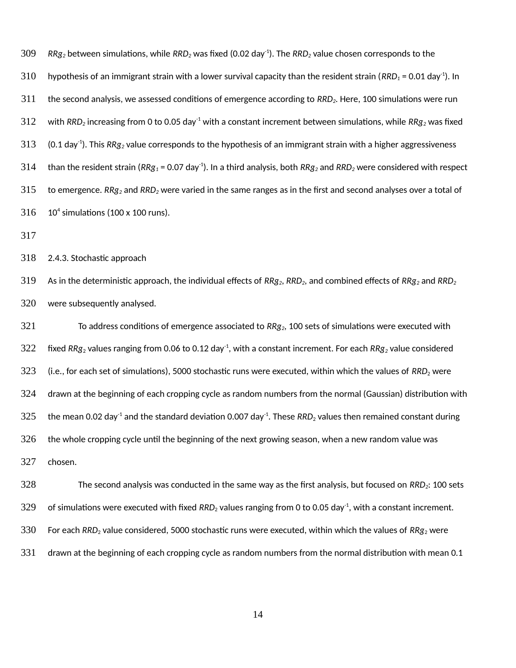*RRg2* between simulations, while *RRD2* was fixed (0.02 day-1). The *RRD2* value chosen corresponds to the hypothesis of an immigrant strain with a lower survival capacity than the resident strain ( $RRD_1 = 0.01$  day<sup>-1</sup>). In the second analysis, we assessed conditions of emergence according to *RRD2*. Here, 100 simulations were run with  $\mathsf{R}\mathsf{R}\mathsf{D}_2$  increasing from 0 to 0.05 day<sup>-1</sup> with a constant increment between simulations, while  $\mathsf{R}\mathsf{R}\mathsf{g}_2$  was fixed (0.1 day-1). This *RRg2* value corresponds to the hypothesis of an immigrant strain with a higher aggressiveness than the resident strain ( $RRg_1$  = 0.07 day<sup>-1</sup>). In a third analysis, both  $RRg_2$  and  $RRD_2$  were considered with respect to emergence. *RRg2* and *RRD2* were varied in the same ranges as in the first and second analyses over a total of  $10<sup>4</sup>$  simulations (100 x 100 runs). 309 310 311 312 313 314 315 316

317

2.4.3. Stochastic approach 318

As in the deterministic approach, the individual effects of *RRg2*, *RRD2*, and combined effects of *RRg2* and *RRD<sup>2</sup>* were subsequently analysed. 319 320

To address conditions of emergence associated to *RRg2*, 100 sets of simulations were executed with fixed *RRg*<sub>2</sub> values ranging from 0.06 to 0.12 day<sup>-1</sup>, with a constant increment. For each *RRg*<sub>2</sub> value considered (i.e., for each set of simulations), 5000 stochastic runs were executed, within which the values of *RRD*<sub>2</sub> were drawn at the beginning of each cropping cycle as random numbers from the normal (Gaussian) distribution with the mean 0.02 day<sup>-1</sup> and the standard deviation 0.007 day<sup>-1</sup>. These RRD<sub>2</sub> values then remained constant during the whole cropping cycle until the beginning of the next growing season, when a new random value was chosen. 321 322 323 324 325 326 327

The second analysis was conducted in the same way as the first analysis, but focused on *RRD2*: 100 sets of simulations were executed with fixed *RRD*<sub>2</sub> values ranging from 0 to 0.05 day<sup>-1</sup>, with a constant increment. For each *RRD*<sub>2</sub> value considered, 5000 stochastic runs were executed, within which the values of *RRg*<sub>2</sub> were drawn at the beginning of each cropping cycle as random numbers from the normal distribution with mean 0.1 328 329 330 331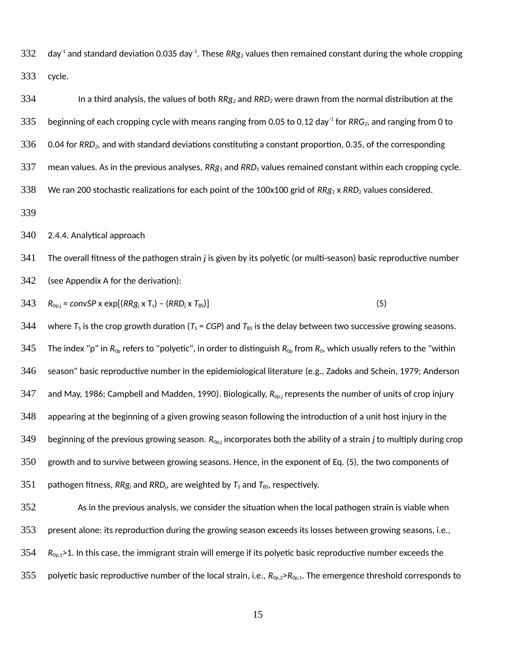day-1 and standard deviation 0.035 day-1. These *RRg*2 values then remained constant during the whole cropping cycle. 332 333

| 334 | In a third analysis, the values of both $RRg_2$ and $RRD_2$ were drawn from the normal distribution at the                           |
|-----|--------------------------------------------------------------------------------------------------------------------------------------|
| 335 | beginning of each cropping cycle with means ranging from 0.05 to 0.12 day <sup>-1</sup> for RRG <sub>2</sub> , and ranging from 0 to |
| 336 | 0.04 for $RRD2$ , and with standard deviations constituting a constant proportion, 0.35, of the corresponding                        |
| 337 | mean values. As in the previous analyses, $RRg_1$ and $RRD_1$ values remained constant within each cropping cycle.                   |
| 338 | We ran 200 stochastic realizations for each point of the 100x100 grid of $RRg_2$ x $RRD_2$ values considered.                        |

339

2.4.4. Analytical approach 340

The overall fitness of the pathogen strain *j* is given by its polyetic (or multi-season) basic reproductive number (see Appendix A for the derivation): 341 342

$$
343 \t Rop,j = convSP x exp[(RRgj x Ts) - (RRDj x TBS)]
$$
\n(5)

where  $T_s$  is the crop growth duration ( $T_s$  = CGP) and  $T_{\text{BS}}$  is the delay between two successive growing seasons. The index "p" in  $R_{0p}$  refers to "polyetic", in order to distinguish  $R_{0p}$  from  $R_0$ , which usually refers to the "within season" basic reproductive number in the epidemiological literature (e.g., Zadoks and Schein, 1979; Anderson and May, 1986; Campbell and Madden, 1990). Biologically, R<sub>0p,j</sub> represents the number of units of crop injury appearing at the beginning of a given growing season following the introduction of a unit host injury in the beginning of the previous growing season. *R*0p,j incorporates both the ability of a strain *j* to multiply during crop growth and to survive between growing seasons. Hence, in the exponent of Eq. (5), the two components of pathogen fitness,  $RRg_j$  and  $RRD_j$ , are weighted by  $T_s$  and  $T_{BS}$ , respectively. 344 345 346 347 348 349 350 351

As in the previous analysis, we consider the situation when the local pathogen strain is viable when present alone: its reproduction during the growing season exceeds its losses between growing seasons, i.e., *R*0p,1>1. In this case, the immigrant strain will emerge if its polyetic basic reproductive number exceeds the polyetic basic reproductive number of the local strain, i.e.,  $R_{0p,2} > R_{0p,1}$ . The emergence threshold corresponds to 352 353 354 355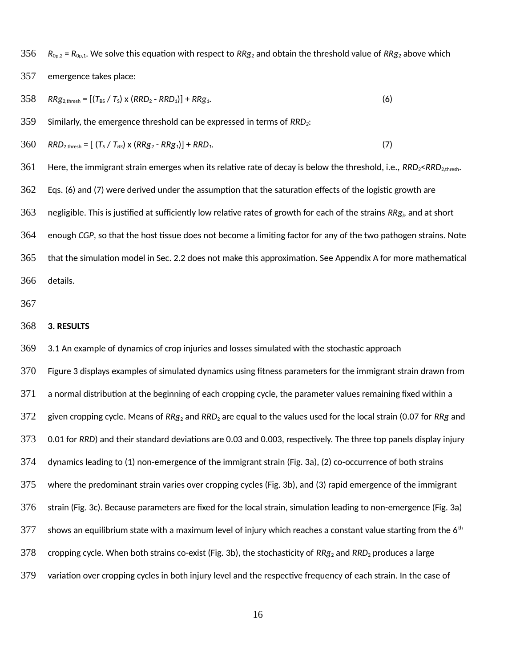$R_{op,2}$  =  $R_{op,1}$ . We solve this equation with respect to  $RRg_2$  and obtain the threshold value of  $RRg_2$  above which emergence takes place: 356 357

$$
358 \quad RRg_{2,\text{thresh}} = [(T_{BS} / T_S) \times (RRD_2 - RRD_1)] + RRg_1. \tag{6}
$$

Similarly, the emergence threshold can be expressed in terms of *RRD2*: 359

$$
360 \quad RRD_{2,\text{thresh}} = \left[ \left( T_s / T_{BS} \right) \times \left( RRg_2 - RRg_1 \right) \right] + RRD_1. \tag{7}
$$

Here, the immigrant strain emerges when its relative rate of decay is below the threshold, i.e., *RRD*<sub>2</sub><*RRD*<sub>2</sub>, thresh-Eqs. (6) and (7) were derived under the assumption that the saturation effects of the logistic growth are negligible. This is justified at sufficiently low relative rates of growth for each of the strains *RRgj*, and at short enough *CGP*, so that the host tissue does not become a limiting factor for any of the two pathogen strains. Note that the simulation model in Sec. 2.2 does not make this approximation. See Appendix A for more mathematical details. 361 362 363 364 365 366

367

#### **3. RESULTS** 368

3.1 An example of dynamics of crop injuries and losses simulated with the stochastic approach 369

Figure 3 displays examples of simulated dynamics using fitness parameters for the immigrant strain drawn from a normal distribution at the beginning of each cropping cycle, the parameter values remaining fixed within a given cropping cycle. Means of *RRg*2 and *RRD*2 are equal to the values used for the local strain (0.07 for *RRg* and 0.01 for *RRD*) and their standard deviations are 0.03 and 0.003, respectively. The three top panels display injury dynamics leading to (1) non-emergence of the immigrant strain (Fig. 3a), (2) co-occurrence of both strains where the predominant strain varies over cropping cycles (Fig. 3b), and (3) rapid emergence of the immigrant strain (Fig. 3c). Because parameters are fixed for the local strain, simulation leading to non-emergence (Fig. 3a) shows an equilibrium state with a maximum level of injury which reaches a constant value starting from the 6 $^{\rm th}$ cropping cycle. When both strains co-exist (Fig. 3b), the stochasticity of *RRg*<sub>2</sub> and *RRD*<sub>2</sub> produces a large variation over cropping cycles in both injury level and the respective frequency of each strain. In the case of 370 371 372 373 374 375 376 377 378 379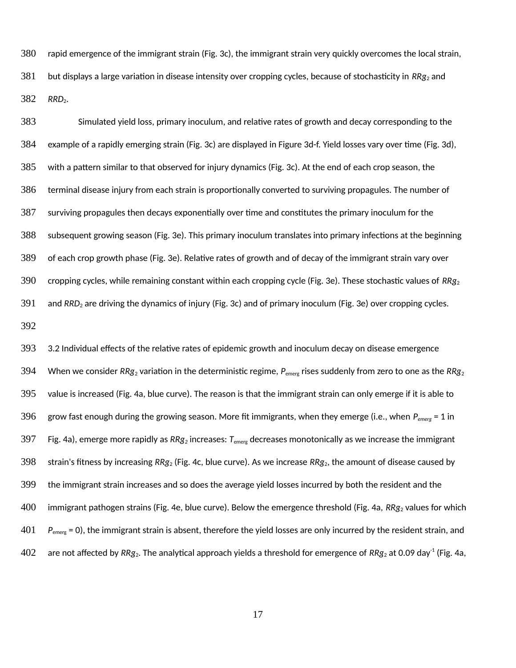rapid emergence of the immigrant strain (Fig. 3c), the immigrant strain very quickly overcomes the local strain, but displays a large variation in disease intensity over cropping cycles, because of stochasticity in *RRg<sub>2</sub>* and *RRD*2. 380 381 382

Simulated yield loss, primary inoculum, and relative rates of growth and decay corresponding to the example of a rapidly emerging strain (Fig. 3c) are displayed in Figure 3d-f. Yield losses vary over time (Fig. 3d), with a pattern similar to that observed for injury dynamics (Fig. 3c). At the end of each crop season, the terminal disease injury from each strain is proportionally converted to surviving propagules. The number of surviving propagules then decays exponentially over time and constitutes the primary inoculum for the subsequent growing season (Fig. 3e). This primary inoculum translates into primary infections at the beginning of each crop growth phase (Fig. 3e). Relative rates of growth and of decay of the immigrant strain vary over cropping cycles, while remaining constant within each cropping cycle (Fig. 3e). These stochastic values of *RRg*<sup>2</sup> and *RRD*<sub>2</sub> are driving the dynamics of injury (Fig. 3c) and of primary inoculum (Fig. 3e) over cropping cycles. 383 384 385 386 387 388 389 390 391

392

3.2 Individual effects of the relative rates of epidemic growth and inoculum decay on disease emergence When we consider *RRg*<sub>2</sub> variation in the deterministic regime,  $P_{\rm emerg}$  rises suddenly from zero to one as the *RRg*<sub>2</sub> value is increased (Fig. 4a, blue curve). The reason is that the immigrant strain can only emerge if it is able to grow fast enough during the growing season. More fit immigrants, when they emerge (i.e., when *Pemerg* = 1 in Fig. 4a), emerge more rapidly as *RRg2* increases: *T*emerg decreases monotonically as we increase the immigrant strain's fitness by increasing *RRg*2 (Fig. 4c, blue curve). As we increase *RRg*2, the amount of disease caused by the immigrant strain increases and so does the average yield losses incurred by both the resident and the immigrant pathogen strains (Fig. 4e, blue curve). Below the emergence threshold (Fig. 4a, *RRg*<sub>2</sub> values for which *P*<sub>emerg</sub> = 0), the immigrant strain is absent, therefore the yield losses are only incurred by the resident strain, and are not affected by *RRg*<sub>2</sub>. The analytical approach yields a threshold for emergence of *RRg*<sub>2</sub> at 0.09 day<sup>-1</sup> (Fig. 4a, 393 394 395 396 397 398 399 400 401 402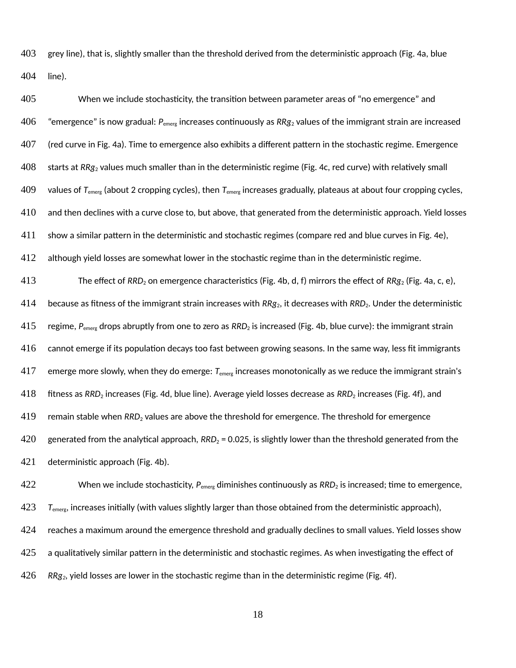grey line), that is, slightly smaller than the threshold derived from the deterministic approach (Fig. 4a, blue line). 403 404

| 405 | When we include stochasticity, the transition between parameter areas of "no emergence" and                                                  |
|-----|----------------------------------------------------------------------------------------------------------------------------------------------|
| 406 | "emergence" is now gradual: $P_{\text{emerg}}$ increases continuously as $RRg_2$ values of the immigrant strain are increased                |
| 407 | (red curve in Fig. 4a). Time to emergence also exhibits a different pattern in the stochastic regime. Emergence                              |
| 408 | starts at $RRg_2$ values much smaller than in the deterministic regime (Fig. 4c, red curve) with relatively small                            |
| 409 | values of $T_{\text{emerg}}$ (about 2 cropping cycles), then $T_{\text{emerg}}$ increases gradually, plateaus at about four cropping cycles, |
| 410 | and then declines with a curve close to, but above, that generated from the deterministic approach. Yield losses                             |
| 411 | show a similar pattern in the deterministic and stochastic regimes (compare red and blue curves in Fig. 4e),                                 |
| 412 | although yield losses are somewhat lower in the stochastic regime than in the deterministic regime.                                          |
| 413 | The effect of RRD <sub>2</sub> on emergence characteristics (Fig. 4b, d, f) mirrors the effect of RR $g_2$ (Fig. 4a, c, e),                  |
| 414 | because as fitness of the immigrant strain increases with $RRg_2$ , it decreases with $RRD_2$ . Under the deterministic                      |
| 415 | regime, $P_{\text{emerg}}$ drops abruptly from one to zero as $RRD_2$ is increased (Fig. 4b, blue curve): the immigrant strain               |
| 416 | cannot emerge if its population decays too fast between growing seasons. In the same way, less fit immigrants                                |
| 417 | emerge more slowly, when they do emerge: $T_{emerg}$ increases monotonically as we reduce the immigrant strain's                             |
| 418 | fitness as RRD <sub>2</sub> increases (Fig. 4d, blue line). Average yield losses decrease as RRD <sub>2</sub> increases (Fig. 4f), and       |
| 419 | remain stable when $RRD2$ values are above the threshold for emergence. The threshold for emergence                                          |
| 420 | generated from the analytical approach, $RRD_2 = 0.025$ , is slightly lower than the threshold generated from the                            |
| 421 | deterministic approach (Fig. 4b).                                                                                                            |
| 422 | When we include stochasticity, $P_{\text{emerg}}$ diminishes continuously as $RRD_2$ is increased; time to emergence,                        |
| 423 | $T_{\text{emers}}$ , increases initially (with values slightly larger than those obtained from the deterministic approach),                  |
| 424 | reaches a maximum around the emergence threshold and gradually declines to small values. Yield losses show                                   |
| 425 | a qualitatively similar pattern in the deterministic and stochastic regimes. As when investigating the effect of                             |
|     |                                                                                                                                              |

*RRg2*, yield losses are lower in the stochastic regime than in the deterministic regime (Fig. 4f). 426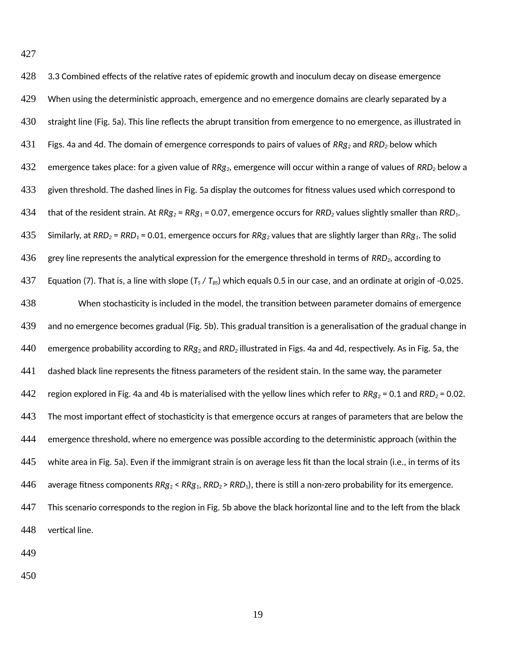427

| 428 | 3.3 Combined effects of the relative rates of epidemic growth and inoculum decay on disease emergence                            |
|-----|----------------------------------------------------------------------------------------------------------------------------------|
| 429 | When using the deterministic approach, emergence and no emergence domains are clearly separated by a                             |
| 430 | straight line (Fig. 5a). This line reflects the abrupt transition from emergence to no emergence, as illustrated in              |
| 431 | Figs. 4a and 4d. The domain of emergence corresponds to pairs of values of $RRg_2$ and $RRD_2$ below which                       |
| 432 | emergence takes place: for a given value of $RRg2$ , emergence will occur within a range of values of $RRD2$ below a             |
| 433 | given threshold. The dashed lines in Fig. 5a display the outcomes for fitness values used which correspond to                    |
| 434 | that of the resident strain. At $RRg_2 = RRg_1 = 0.07$ , emergence occurs for $RRD_2$ values slightly smaller than $RRD_1$ .     |
| 435 | Similarly, at $RRD_2$ = $RRD_1$ = 0.01, emergence occurs for $RRg_2$ values that are slightly larger than $RRg_1$ . The solid    |
| 436 | grey line represents the analytical expression for the emergence threshold in terms of $RRD2$ , according to                     |
| 437 | Equation (7). That is, a line with slope ( $T_s$ / $T_{gs}$ ) which equals 0.5 in our case, and an ordinate at origin of -0.025. |
| 438 | When stochasticity is included in the model, the transition between parameter domains of emergence                               |
| 439 | and no emergence becomes gradual (Fig. 5b). This gradual transition is a generalisation of the gradual change in                 |
| 440 | emergence probability according to $RRg_2$ and $RRD_2$ illustrated in Figs. 4a and 4d, respectively. As in Fig. 5a, the          |
| 441 | dashed black line represents the fitness parameters of the resident stain. In the same way, the parameter                        |
| 442 | region explored in Fig. 4a and 4b is materialised with the yellow lines which refer to $RRg_2 = 0.1$ and $RRD_2 = 0.02$ .        |
| 443 | The most important effect of stochasticity is that emergence occurs at ranges of parameters that are below the                   |
| 444 | emergence threshold, where no emergence was possible according to the deterministic approach (within the                         |
| 445 | white area in Fig. 5a). Even if the immigrant strain is on average less fit than the local strain (i.e., in terms of its         |
| 446 | average fitness components $RRg_2$ < $RRg_1$ , $RRD_2$ > $RRD_1$ ), there is still a non-zero probability for its emergence.     |
| 447 | This scenario corresponds to the region in Fig. 5b above the black horizontal line and to the left from the black                |
| 448 | vertical line.                                                                                                                   |
| 449 |                                                                                                                                  |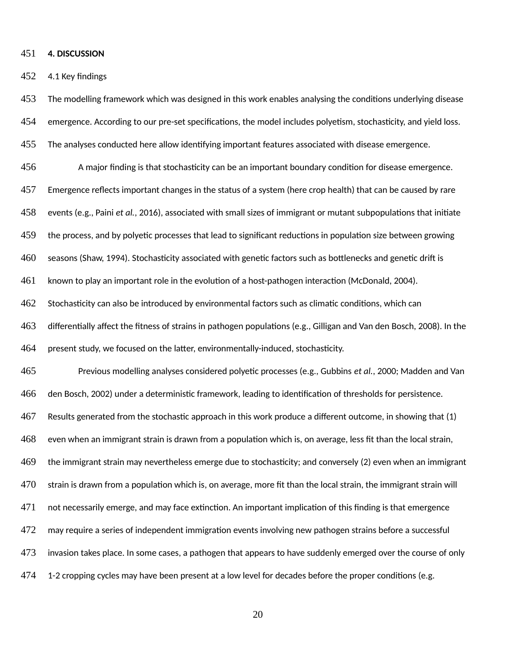**4. DISCUSSION** 451

4.1 Key findings 452

The modelling framework which was designed in this work enables analysing the conditions underlying disease 453

emergence. According to our pre-set specifications, the model includes polyetism, stochasticity, and yield loss. 454

The analyses conducted here allow identifying important features associated with disease emergence. 455

A major finding is that stochasticity can be an important boundary condition for disease emergence. 456

Emergence reflects important changes in the status of a system (here crop health) that can be caused by rare 457

events (e.g., Paini *et al.*, 2016), associated with small sizes of immigrant or mutant subpopulations that initiate 458

the process, and by polyetic processes that lead to significant reductions in population size between growing 459

seasons (Shaw, 1994). Stochasticity associated with genetic factors such as bottlenecks and genetic drift is 460

known to play an important role in the evolution of a host-pathogen interaction (McDonald, 2004). 461

Stochasticity can also be introduced by environmental factors such as climatic conditions, which can 462

differentially affect the fitness of strains in pathogen populations (e.g., Gilligan and Van den Bosch, 2008). In the 463

present study, we focused on the latter, environmentally-induced, stochasticity. 464

Previous modelling analyses considered polyetic processes (e.g., Gubbins *et al.*, 2000; Madden and Van den Bosch, 2002) under a deterministic framework, leading to identification of thresholds for persistence. Results generated from the stochastic approach in this work produce a different outcome, in showing that (1) even when an immigrant strain is drawn from a population which is, on average, less fit than the local strain, the immigrant strain may nevertheless emerge due to stochasticity; and conversely (2) even when an immigrant strain is drawn from a population which is, on average, more fit than the local strain, the immigrant strain will not necessarily emerge, and may face extinction. An important implication of this finding is that emergence may require a series of independent immigration events involving new pathogen strains before a successful invasion takes place. In some cases, a pathogen that appears to have suddenly emerged over the course of only 1-2 cropping cycles may have been present at a low level for decades before the proper conditions (e.g. 465 466 467 468 469 470 471 472 473 474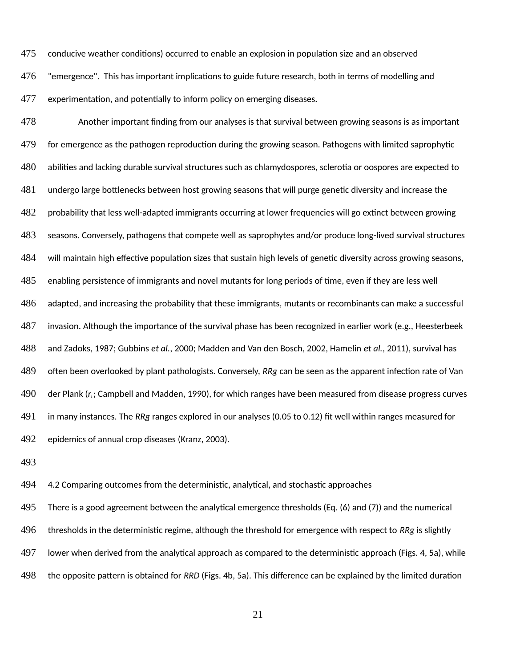conducive weather conditions) occurred to enable an explosion in population size and an observed 475

"emergence". This has important implications to guide future research, both in terms of modelling and 476

experimentation, and potentially to inform policy on emerging diseases. 477

Another important finding from our analyses is that survival between growing seasons is as important for emergence as the pathogen reproduction during the growing season. Pathogens with limited saprophytic abilities and lacking durable survival structures such as chlamydospores, sclerotia or oospores are expected to undergo large bottlenecks between host growing seasons that will purge genetic diversity and increase the probability that less well-adapted immigrants occurring at lower frequencies will go extinct between growing seasons. Conversely, pathogens that compete well as saprophytes and/or produce long-lived survival structures will maintain high effective population sizes that sustain high levels of genetic diversity across growing seasons, enabling persistence of immigrants and novel mutants for long periods of time, even if they are less well adapted, and increasing the probability that these immigrants, mutants or recombinants can make a successful invasion. Although the importance of the survival phase has been recognized in earlier work (e.g., Heesterbeek and Zadoks, 1987; Gubbins *et al.*, 2000; Madden and Van den Bosch, 2002, Hamelin *et al.*, 2011), survival has often been overlooked by plant pathologists. Conversely, *RRg* can be seen as the apparent infection rate of Van der Plank (*rL*; Campbell and Madden, 1990), for which ranges have been measured from disease progress curves in many instances. The *RRg* ranges explored in our analyses (0.05 to 0.12) fit well within ranges measured for epidemics of annual crop diseases (Kranz, 2003). 478 479 480 481 482 483 484 485 486 487 488 489 490 491 492

493

4.2 Comparing outcomes from the deterministic, analytical, and stochastic approaches 494

There is a good agreement between the analytical emergence thresholds (Eq. (6) and (7)) and the numerical thresholds in the deterministic regime, although the threshold for emergence with respect to *RRg* is slightly lower when derived from the analytical approach as compared to the deterministic approach (Figs. 4, 5a), while the opposite pattern is obtained for *RRD* (Figs. 4b, 5a). This difference can be explained by the limited duration 495 496 497 498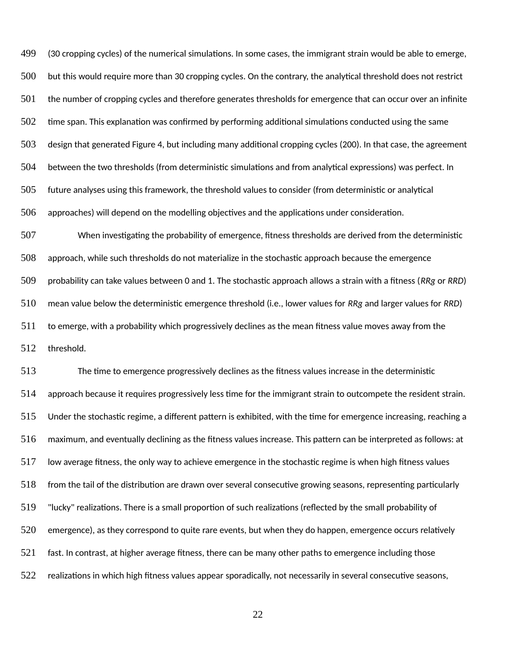(30 cropping cycles) of the numerical simulations. In some cases, the immigrant strain would be able to emerge, but this would require more than 30 cropping cycles. On the contrary, the analytical threshold does not restrict the number of cropping cycles and therefore generates thresholds for emergence that can occur over an infinite time span. This explanation was confirmed by performing additional simulations conducted using the same design that generated Figure 4, but including many additional cropping cycles (200). In that case, the agreement between the two thresholds (from deterministic simulations and from analytical expressions) was perfect. In future analyses using this framework, the threshold values to consider (from deterministic or analytical approaches) will depend on the modelling objectives and the applications under consideration. When investigating the probability of emergence, fitness thresholds are derived from the deterministic approach, while such thresholds do not materialize in the stochastic approach because the emergence probability can take values between 0 and 1. The stochastic approach allows a strain with a fitness (*RRg* or *RRD*) mean value below the deterministic emergence threshold (i.e., lower values for *RRg* and larger values for *RRD*) 499 500 501 502 503 504 505 506 507 508 509 510

to emerge, with a probability which progressively declines as the mean fitness value moves away from the threshold. 511 512

The time to emergence progressively declines as the fitness values increase in the deterministic approach because it requires progressively less time for the immigrant strain to outcompete the resident strain. Under the stochastic regime, a different pattern is exhibited, with the time for emergence increasing, reaching a maximum, and eventually declining as the fitness values increase. This pattern can be interpreted as follows: at low average fitness, the only way to achieve emergence in the stochastic regime is when high fitness values from the tail of the distribution are drawn over several consecutive growing seasons, representing particularly "lucky" realizations. There is a small proportion of such realizations (reflected by the small probability of emergence), as they correspond to quite rare events, but when they do happen, emergence occurs relatively fast. In contrast, at higher average fitness, there can be many other paths to emergence including those realizations in which high fitness values appear sporadically, not necessarily in several consecutive seasons, 513 514 515 516 517 518 519 520 521 522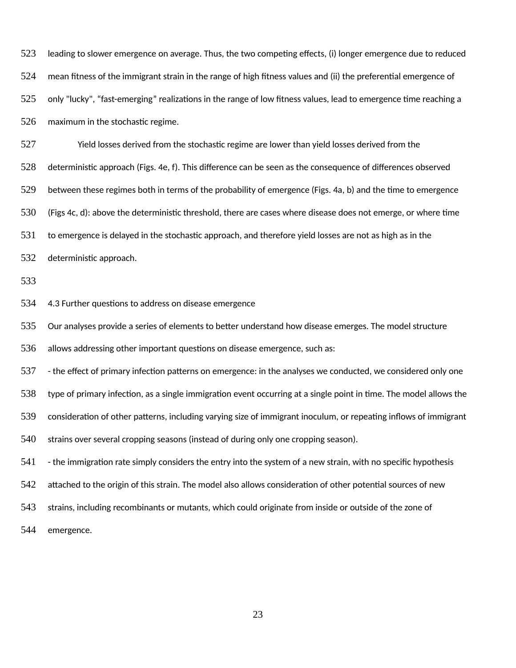leading to slower emergence on average. Thus, the two competing effects, (i) longer emergence due to reduced mean fitness of the immigrant strain in the range of high fitness values and (ii) the preferential emergence of only "lucky", "fast-emerging" realizations in the range of low fitness values, lead to emergence time reaching a maximum in the stochastic regime. 523 524 525 526

Yield losses derived from the stochastic regime are lower than yield losses derived from the deterministic approach (Figs. 4e, f). This difference can be seen as the consequence of differences observed between these regimes both in terms of the probability of emergence (Figs. 4a, b) and the time to emergence (Figs 4c, d): above the deterministic threshold, there are cases where disease does not emerge, or where time to emergence is delayed in the stochastic approach, and therefore yield losses are not as high as in the deterministic approach. 527 528 529 530 531 532

533

4.3 Further questions to address on disease emergence 534

Our analyses provide a series of elements to better understand how disease emerges. The model structure 535

allows addressing other important questions on disease emergence, such as: 536

- the effect of primary infection patterns on emergence: in the analyses we conducted, we considered only one 537

type of primary infection, as a single immigration event occurring at a single point in time. The model allows the 538

consideration of other patterns, including varying size of immigrant inoculum, or repeating inflows of immigrant 539

strains over several cropping seasons (instead of during only one cropping season). 540

- the immigration rate simply considers the entry into the system of a new strain, with no specific hypothesis 541

attached to the origin of this strain. The model also allows consideration of other potential sources of new 542

strains, including recombinants or mutants, which could originate from inside or outside of the zone of 543

emergence. 544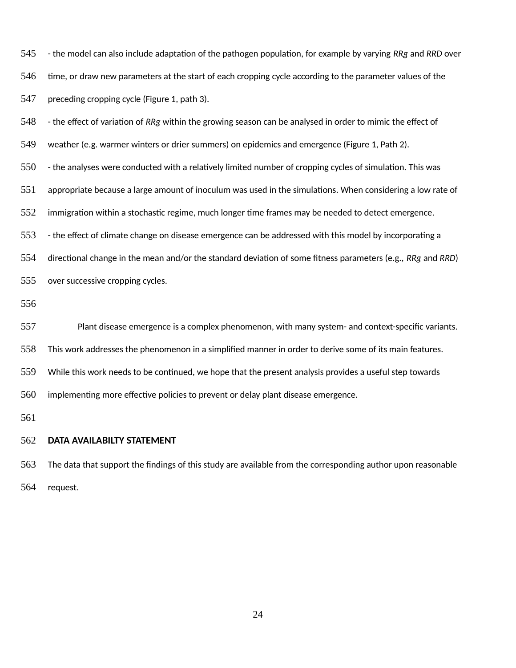- the model can also include adaptation of the pathogen population, for example by varying *RRg* and *RRD* over time, or draw new parameters at the start of each cropping cycle according to the parameter values of the 545 546

preceding cropping cycle (Figure 1, path 3). 547

- the effect of variation of *RRg* within the growing season can be analysed in order to mimic the effect of 548

weather (e.g. warmer winters or drier summers) on epidemics and emergence (Figure 1, Path 2). 549

- the analyses were conducted with a relatively limited number of cropping cycles of simulation. This was 550

appropriate because a large amount of inoculum was used in the simulations. When considering a low rate of 551

immigration within a stochastic regime, much longer time frames may be needed to detect emergence. 552

- the effect of climate change on disease emergence can be addressed with this model by incorporating a 553

directional change in the mean and/or the standard deviation of some fitness parameters (e.g., *RRg* and *RRD*) 554

over successive cropping cycles. 555

556

Plant disease emergence is a complex phenomenon, with many system- and context-specific variants. 557

This work addresses the phenomenon in a simplified manner in order to derive some of its main features. 558

While this work needs to be continued, we hope that the present analysis provides a useful step towards 559

implementing more effective policies to prevent or delay plant disease emergence. 560

561

#### **DATA AVAILABILTY STATEMENT** 562

The data that support the findings of this study are available from the corresponding author upon reasonable request. 563 564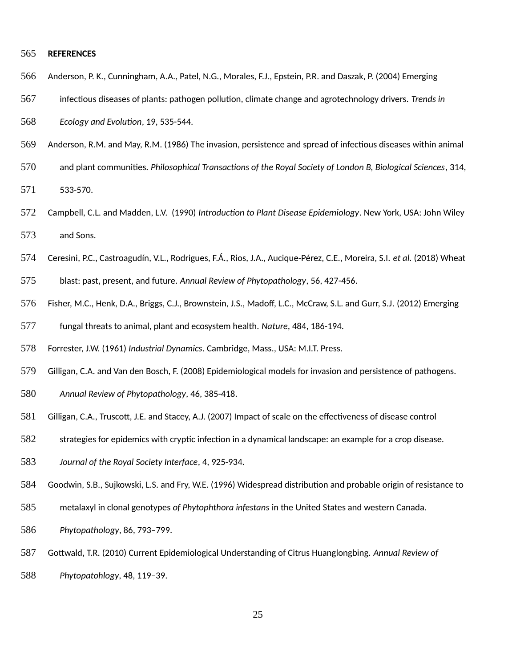#### **REFERENCES** 565

- Anderson, P. K., Cunningham, A.A., Patel, N.G., Morales, F.J., Epstein, P.R. and Daszak, P. (2004) Emerging 566
- infectious diseases of plants: pathogen pollution, climate change and agrotechnology drivers. *Trends in Ecology and Evolution*, 19, 535-544. 567 568
- Anderson, R.M. and May, R.M. (1986) The invasion, persistence and spread of infectious diseases within animal 569
- and plant communities*. Philosophical Transactions of the Royal Society of London B, Biological Sciences*, 314, 533-570. 570 571
- Campbell, C.L. and Madden, L.V. (1990) *Introduction to Plant Disease Epidemiology*. New York, USA: John Wiley and Sons. 572 573
- Ceresini, P.C., Castroagudín, V.L., Rodrigues, F.Á., Rios, J.A., Aucique-Pérez, C.E., Moreira, S.I. *et al.* (2018) Wheat 574
- blast: past, present, and future. *Annual Review of Phytopathology*, 56, 427-456. 575
- Fisher, M.C., Henk, D.A., Briggs, C.J., Brownstein, J.S., Madoff, L.C., McCraw, S.L. and Gurr, S.J*.* (2012) Emerging 576
- fungal threats to animal, plant and ecosystem health. *Nature*, 484, 186-194. 577
- Forrester, J.W. (1961) *Industrial Dynamics*. Cambridge, Mass., USA: M.I.T. Press. 578
- Gilligan, C.A. and Van den Bosch, F. (2008) Epidemiological models for invasion and persistence of pathogens. 579
- *Annual Review of Phytopathology*, 46, 385-418. 580
- Gilligan, C.A., Truscott, J.E. and Stacey, A.J. (2007) Impact of scale on the effectiveness of disease control 581
- strategies for epidemics with cryptic infection in a dynamical landscape: an example for a crop disease. 582
- *Journal of the Royal Society Interface*, 4, 925-934. 583
- Goodwin, S.B., Sujkowski, L.S. and Fry, W.E. (1996) Widespread distribution and probable origin of resistance to 584
- metalaxyl in clonal genotypes *of Phytophthora infestans* in the United States and western Canada. 585
- *Phytopathology*, 86, 793–799. 586
- Gottwald, T.R. (2010) Current Epidemiological Understanding of Citrus Huanglongbing. *Annual Review of*  587
- *Phytopatohlogy*, 48, 119–39. 588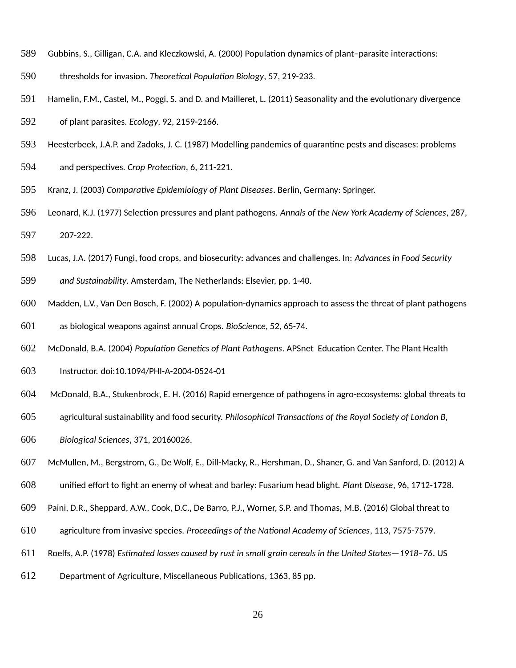- Gubbins, S., Gilligan, C.A. and Kleczkowski, A. (2000) Population dynamics of plant–parasite interactions: 589
- thresholds for invasion. *Theoretical Population Biology*, 57, 219-233. 590
- Hamelin, F.M., Castel, M., Poggi, S. and D. and Mailleret, L. (2011) Seasonality and the evolutionary divergence of plant parasites. *Ecology*, 92, 2159-2166. 591 592
- Heesterbeek, J.A.P. and Zadoks, J. C. (1987) Modelling pandemics of quarantine pests and diseases: problems 593
- and perspectives. *Crop Protection*, 6, 211-221. 594
- Kranz, J. (2003) *Comparative Epidemiology of Plant Diseases*. Berlin, Germany: Springer. 595
- Leonard, K.J. (1977) Selection pressures and plant pathogens. *Annals of the New York Academy of Sciences*, 287, 207-222. 596 597
- Lucas, J.A. (2017) Fungi, food crops, and biosecurity: advances and challenges. In: *Advances in Food Security*  598
- *and Sustainability*. Amsterdam, The Netherlands: Elsevier, pp. 1-40. 599
- Madden, L.V., Van Den Bosch, F. (2002) A population-dynamics approach to assess the threat of plant pathogens 600
- as biological weapons against annual Crops. *BioScience*, 52, 65-74. 601
- McDonald, B.A. (2004) *Population Genetics of Plant Pathogens*. APSnet Education Center. The Plant Health 602
- Instructor. doi:10.1094/PHI-A-2004-0524-01 603
- McDonald, B.A., Stukenbrock, E. H. (2016) Rapid emergence of pathogens in agro-ecosystems: global threats to 604
- agricultural sustainability and food security. *Philosophical Transactions of the Royal Society of London B,*  605
- *Biological Sciences*, 371, 20160026. 606
- McMullen, M., Bergstrom, G., De Wolf, E., Dill-Macky, R., Hershman, D., Shaner, G. and Van Sanford, D. (2012) A 607
- unified effort to fight an enemy of wheat and barley: Fusarium head blight. *Plant Disease*, 96, 1712-1728. 608
- Paini, D.R., Sheppard, A.W., Cook, D.C., De Barro, P.J., Worner, S.P. and Thomas, M.B. (2016) Global threat to 609
- agriculture from invasive species. *Proceedings of the National Academy of Sciences*, 113, 7575-7579. 610
- Roelfs, A.P. (1978) *Estimated losses caused by rust in small grain cereals in the United States—1918–76*. US 611
- Department of Agriculture, Miscellaneous Publications, 1363, 85 pp. 612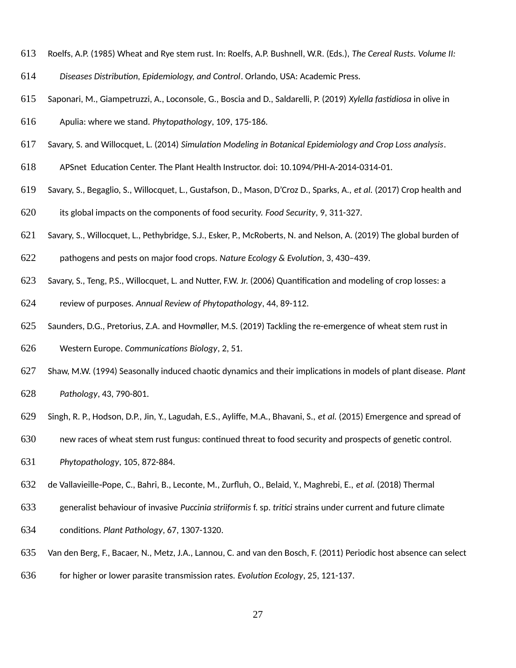- Roelfs, A.P. (1985) Wheat and Rye stem rust. In: Roelfs, A.P. Bushnell, W.R. (Eds.), *The Cereal Rusts. Volume II:*  613
- *Diseases Distribution, Epidemiology, and Control*. Orlando, USA: Academic Press. 614
- Saponari, M., Giampetruzzi, A., Loconsole, G., Boscia and D., Saldarelli, P. (2019) *Xylella fastidiosa* in olive in 615
- Apulia: where we stand. *Phytopathology*, 109, 175-186. 616
- Savary, S. and Willocquet, L. (2014) *Simulation Modeling in Botanical Epidemiology and Crop Loss analysis*. 617
- APSnet Education Center. The Plant Health Instructor. doi: 10.1094/PHI-A-2014-0314-01. 618
- Savary, S., Begaglio, S., Willocquet, L., Gustafson, D., Mason, D'Croz D., Sparks, A., *et al.* (2017) Crop health and 619
- its global impacts on the components of food security. *Food Security*, 9, 311-327. 620
- Savary, S., Willocquet, L., Pethybridge, S.J., Esker, P., McRoberts, N. and Nelson, A. (2019) The global burden of 621
- pathogens and pests on major food crops. *Nature Ecology & Evolution*, 3, 430–439. 622
- Savary, S., Teng, P.S., Willocquet, L. and Nutter, F.W. Jr. (2006) Quantification and modeling of crop losses: a 623
- review of purposes. *Annual Review of Phytopathology*, 44, 89-112. 624
- Saunders, D.G., Pretorius, Z.A. and Hovmøller, M.S. (2019) Tackling the re-emergence of wheat stem rust in 625
- Western Europe. *Communications Biology*, 2, 51. 626
- Shaw, M.W. (1994) Seasonally induced chaotic dynamics and their implications in models of plant disease. *Plant*  627
- *Pathology*, 43, 790-801. 628
- Singh, R. P., Hodson, D.P., Jin, Y., Lagudah, E.S., Ayliffe, M.A., Bhavani, S., *et al.* (2015) Emergence and spread of 629
- new races of wheat stem rust fungus: continued threat to food security and prospects of genetic control. 630
- *Phytopathology*, 105, 872-884. 631
- de Vallavieille Pope, C., Bahri, B., Leconte, M., Zurfluh, O., Belaid, Y., Maghrebi, E., ‐ *et al.* (2018) Thermal 632
- generalist behaviour of invasive *Puccinia striiformis* f. sp. *tritici* strains under current and future climate 633
- conditions. *Plant Pathology*, 67, 1307-1320. 634
- Van den Berg, F., Bacaer, N., Metz, J.A., Lannou, C. and van den Bosch, F. (2011) Periodic host absence can select 635
- for higher or lower parasite transmission rates. *Evolution Ecology*, 25, 121-137. 636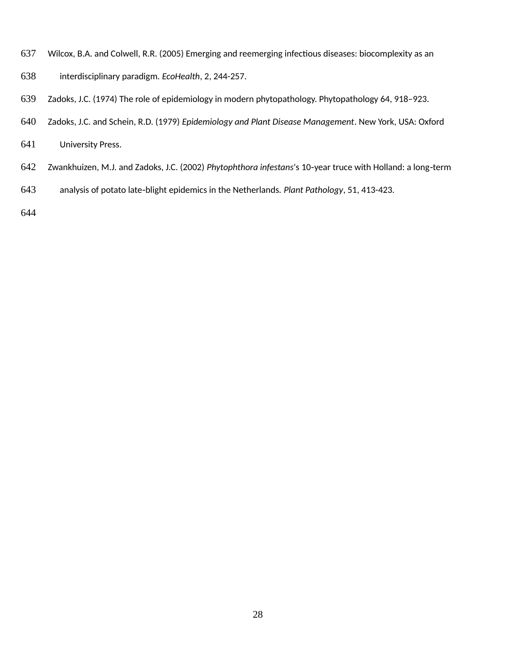- Wilcox, B.A. and Colwell, R.R. (2005) Emerging and reemerging infectious diseases: biocomplexity as an 637
- interdisciplinary paradigm. *EcoHealth*, 2, 244-257. 638
- Zadoks, J.C. (1974) The role of epidemiology in modern phytopathology. Phytopathology 64, 918–923. 639
- Zadoks, J.C. and Schein, R.D. (1979) *Epidemiology and Plant Disease Management*. New York, USA: Oxford 640
- University Press. 641
- Zwankhuizen, M.J. and Zadoks, J.C. (2002) *Phytophthora infestans's* 10-year truce with Holland: a long-term 642
- analysis of potato late blight epidemics in the Netherlands. ‐ *Plant Pathology*, 51, 413-423. 643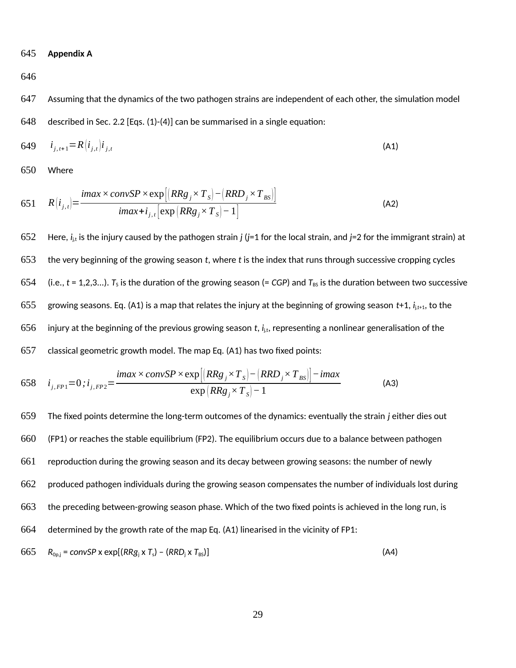#### **Appendix A** 645

646

Assuming that the dynamics of the two pathogen strains are independent of each other, the simulation model described in Sec. 2.2 [Eqs. (1)-(4)] can be summarised in a single equation: 647 648

649 
$$
i_{j,t+1} = R(i_{j,t})i_{j,t}
$$
 (A1)

Where 650

651 
$$
R[i_{j,t}] = \frac{imax \times convSP \times exp[(RRg_j \times T_s) - (RRD_j \times T_{BS})]}{imax + i_{j,t} [exp(RRg_j \times T_s) - 1]}
$$
(A2)

Here,  $i_{i,t}$  is the injury caused by the pathogen strain *j* (*j*=1 for the local strain, and *j*=2 for the immigrant strain) at the very beginning of the growing season *t*, where *t* is the index that runs through successive cropping cycles (i.e.,  $t = 1,2,3...$ ).  $T_s$  is the duration of the growing season (= CGP) and  $T_{BS}$  is the duration between two successive growing seasons. Eq. (A1) is a map that relates the injury at the beginning of growing season *t*+1, *i*j,t+1, to the injury at the beginning of the previous growing season *t*, *i*j,t, representing a nonlinear generalisation of the classical geometric growth model*.* The map Eq. (A1) has two fixed points: 652 653 654 655 656 657

658 
$$
i_{j,FP1} = 0; i_{j,FP2} = \frac{imax \times convSP \times exp[(RRg_j \times T_s) - (RRD_j \times T_{BS})] - imax}{exp(RRg_j \times T_s) - 1}
$$
 (A3)

The fixed points determine the long-term outcomes of the dynamics: eventually the strain *j* either dies out (FP1) or reaches the stable equilibrium (FP2). The equilibrium occurs due to a balance between pathogen reproduction during the growing season and its decay between growing seasons: the number of newly produced pathogen individuals during the growing season compensates the number of individuals lost during the preceding between-growing season phase. Which of the two fixed points is achieved in the long run, is determined by the growth rate of the map Eq. (A1) linearised in the vicinity of FP1:  $R_{\text{op},j}$  = *convSP* x exp[( $RRg_j \times T_s$ ) – ( $RRD_j \times T_{BS}$ )] (A4) 659 660 661 662 663 664 665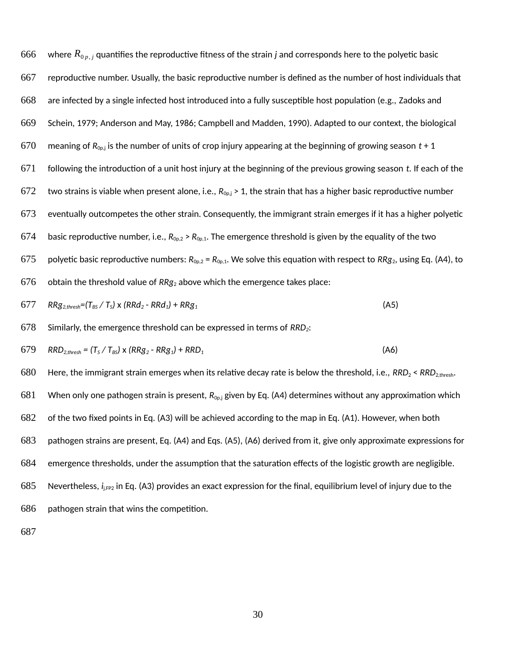| 666 | where $R_{0,p,i}$ quantifies the reproductive fitness of the strain j and corresponds here to the polyetic basic                   |  |  |  |
|-----|------------------------------------------------------------------------------------------------------------------------------------|--|--|--|
| 667 | reproductive number. Usually, the basic reproductive number is defined as the number of host individuals that                      |  |  |  |
| 668 | are infected by a single infected host introduced into a fully susceptible host population (e.g., Zadoks and                       |  |  |  |
| 669 | Schein, 1979; Anderson and May, 1986; Campbell and Madden, 1990). Adapted to our context, the biological                           |  |  |  |
| 670 | meaning of $R_{0p,i}$ is the number of units of crop injury appearing at the beginning of growing season $t + 1$                   |  |  |  |
| 671 | following the introduction of a unit host injury at the beginning of the previous growing season t. If each of the                 |  |  |  |
| 672 | two strains is viable when present alone, i.e., $R_{0p,i}$ > 1, the strain that has a higher basic reproductive number             |  |  |  |
| 673 | eventually outcompetes the other strain. Consequently, the immigrant strain emerges if it has a higher polyetic                    |  |  |  |
| 674 | basic reproductive number, i.e., $R_{0p,2} > R_{0p,1}$ . The emergence threshold is given by the equality of the two               |  |  |  |
| 675 | polyetic basic reproductive numbers: $R_{op,2} = R_{op,1}$ . We solve this equation with respect to $RRg_2$ , using Eq. (A4), to   |  |  |  |
| 676 | obtain the threshold value of $RRg_2$ above which the emergence takes place:                                                       |  |  |  |
| 677 | (A5)<br>$RRg_{2,thresh} = (T_{BS} / T_S) \times (RRd_2 - RRd_1) + RRg_1$                                                           |  |  |  |
| 678 | Similarly, the emergence threshold can be expressed in terms of $RRD_2$ :                                                          |  |  |  |
| 679 | $RRD_{2,thresh} = (T_s / T_{BS}) \times (RRg_2 - RRg_1) + RRD_1$<br>(A6)                                                           |  |  |  |
| 680 | Here, the immigrant strain emerges when its relative decay rate is below the threshold, i.e., $RRD_2 \leq RRD_{2,\text{thresh}}$ . |  |  |  |
| 681 | When only one pathogen strain is present, $R_{op,j}$ given by Eq. (A4) determines without any approximation which                  |  |  |  |
|     |                                                                                                                                    |  |  |  |
| 682 | of the two fixed points in Eq. (A3) will be achieved according to the map in Eq. (A1). However, when both                          |  |  |  |
| 683 | pathogen strains are present, Eq. (A4) and Eqs. (A5), (A6) derived from it, give only approximate expressions for                  |  |  |  |
| 684 | emergence thresholds, under the assumption that the saturation effects of the logistic growth are negligible.                      |  |  |  |
| 685 | Nevertheless, $i_{\text{LFP2}}$ in Eq. (A3) provides an exact expression for the final, equilibrium level of injury due to the     |  |  |  |
| 686 | pathogen strain that wins the competition.                                                                                         |  |  |  |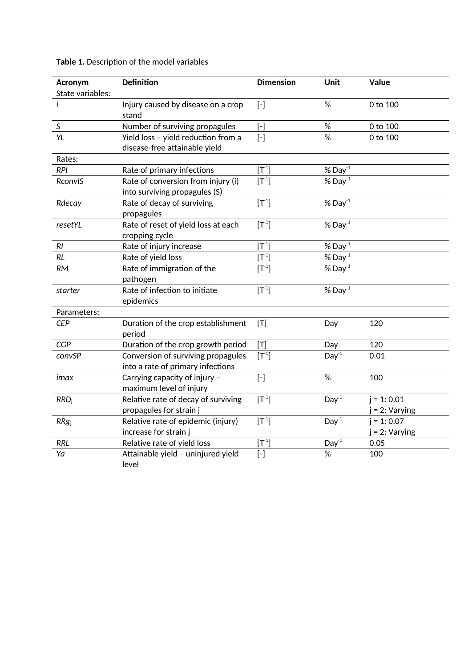| Acronym          | <b>Definition</b>                   | <b>Dimension</b>                                                                                                                                                                                                                                                                                                                                                                                                                                                                                 | <b>Unit</b>           | Value             |
|------------------|-------------------------------------|--------------------------------------------------------------------------------------------------------------------------------------------------------------------------------------------------------------------------------------------------------------------------------------------------------------------------------------------------------------------------------------------------------------------------------------------------------------------------------------------------|-----------------------|-------------------|
| State variables: |                                     |                                                                                                                                                                                                                                                                                                                                                                                                                                                                                                  |                       |                   |
|                  | Injury caused by disease on a crop  | $\left[ -\right] % \includegraphics[width=0.9\textwidth]{images/TrDiS/NR_WM_Fam_MAM_FAM_14-0.08} \includegraphics[width=0.9\textwidth]{images/TrDiS/NR_WAM_FAM_14-0.08} \includegraphics[width=0.9\textwidth]{images/TrDiS/NR_WAM_FAM_14-0.08} \includegraphics[width=0.9\textwidth]{images/TrDiS/NR_WAM_FAM_14-0.08} \includegraphics[width=0.9\textwidth]{images/TrDiS/NR_WAM_FAM_14-0.08} \includegraphics[width=0.9\textwidth]{images/TrDiS/NR_WAM_FAM_14-0.08} \includegraphics[width=0.9\$ | %                     | 0 to 100          |
|                  | stand                               |                                                                                                                                                                                                                                                                                                                                                                                                                                                                                                  |                       |                   |
| $\mathsf S$      | Number of surviving propagules      | $\left[ -\right] % \includegraphics[width=0.9\textwidth]{images/TrDiS/NR_WM_Fam_MAM_FAM_14-0.08} \includegraphics[width=0.9\textwidth]{images/TrDiS/NR_WAM_FAM_14-0.08} \includegraphics[width=0.9\textwidth]{images/TrDiS/NR_WAM_FAM_14-0.08} \includegraphics[width=0.9\textwidth]{images/TrDiS/NR_WAM_FAM_14-0.08} \includegraphics[width=0.9\textwidth]{images/TrDiS/NR_WAM_FAM_14-0.08} \includegraphics[width=0.9\textwidth]{images/TrDiS/NR_WAM_FAM_14-0.08} \includegraphics[width=0.9\$ | %                     | 0 to 100          |
| YL               | Yield loss - yield reduction from a | $\left[ -\right] % \includegraphics[width=0.9\columnwidth]{figures/fig_10.pdf} \caption{The number of parameters of the estimators in the left and right. The number of parameters are shown in the right.} \label{fig:time} %$                                                                                                                                                                                                                                                                  | %                     | 0 to 100          |
|                  | disease-free attainable yield       |                                                                                                                                                                                                                                                                                                                                                                                                                                                                                                  |                       |                   |
| Rates:           |                                     |                                                                                                                                                                                                                                                                                                                                                                                                                                                                                                  |                       |                   |
| <b>RPI</b>       | Rate of primary infections          | $[T^{-1}]$                                                                                                                                                                                                                                                                                                                                                                                                                                                                                       | $%$ Day <sup>-1</sup> |                   |
| RconvIS          | Rate of conversion from injury (i)  | $[T^{-1}]$                                                                                                                                                                                                                                                                                                                                                                                                                                                                                       | $%$ Day <sup>-1</sup> |                   |
|                  | into surviving propagules (S)       |                                                                                                                                                                                                                                                                                                                                                                                                                                                                                                  |                       |                   |
| Rdecay           | Rate of decay of surviving          | $[T^{-1}]$                                                                                                                                                                                                                                                                                                                                                                                                                                                                                       | $%$ Day <sup>-1</sup> |                   |
|                  | propagules                          |                                                                                                                                                                                                                                                                                                                                                                                                                                                                                                  |                       |                   |
| resetYL          | Rate of reset of yield loss at each | $[T^{-1}]$                                                                                                                                                                                                                                                                                                                                                                                                                                                                                       | $%$ Day <sup>-1</sup> |                   |
|                  | cropping cycle                      |                                                                                                                                                                                                                                                                                                                                                                                                                                                                                                  |                       |                   |
| R1               | Rate of injury increase             | $[T^{-1}]$                                                                                                                                                                                                                                                                                                                                                                                                                                                                                       | $%$ Day <sup>-1</sup> |                   |
| RL               | Rate of yield loss                  | $[T^{-1}]$                                                                                                                                                                                                                                                                                                                                                                                                                                                                                       | $%$ Day <sup>-1</sup> |                   |
| <b>RM</b>        | Rate of immigration of the          | $[T^{-1}]$                                                                                                                                                                                                                                                                                                                                                                                                                                                                                       | $%$ Day <sup>-1</sup> |                   |
|                  | pathogen                            |                                                                                                                                                                                                                                                                                                                                                                                                                                                                                                  |                       |                   |
| starter          | Rate of infection to initiate       | $[T^{-1}]$                                                                                                                                                                                                                                                                                                                                                                                                                                                                                       | $%$ Day <sup>-1</sup> |                   |
|                  | epidemics                           |                                                                                                                                                                                                                                                                                                                                                                                                                                                                                                  |                       |                   |
| Parameters:      |                                     |                                                                                                                                                                                                                                                                                                                                                                                                                                                                                                  |                       |                   |
| <b>CEP</b>       | Duration of the crop establishment  | [T]                                                                                                                                                                                                                                                                                                                                                                                                                                                                                              | Day                   | 120               |
|                  | period                              |                                                                                                                                                                                                                                                                                                                                                                                                                                                                                                  |                       |                   |
| CGP              | Duration of the crop growth period  | [T]                                                                                                                                                                                                                                                                                                                                                                                                                                                                                              | Day                   | 120               |
| convSP           | Conversion of surviving propagules  | $[T^{-1}]$                                                                                                                                                                                                                                                                                                                                                                                                                                                                                       | $Day-1$               | 0.01              |
|                  | into a rate of primary infections   |                                                                                                                                                                                                                                                                                                                                                                                                                                                                                                  |                       |                   |
| imax             | Carrying capacity of injury -       | $\left[ -\right] % \includegraphics[width=0.9\columnwidth]{figures/fig_10.pdf} \caption{The number of parameters of the estimators in the left and right. The number of parameters are shown in the right.} \label{fig:time} %$                                                                                                                                                                                                                                                                  | %                     | 100               |
|                  | maximum level of injury             |                                                                                                                                                                                                                                                                                                                                                                                                                                                                                                  |                       |                   |
| RRD <sub>i</sub> | Relative rate of decay of surviving | $[T^{-1}]$                                                                                                                                                                                                                                                                                                                                                                                                                                                                                       | $Day-1$               | $i = 1: 0.01$     |
|                  | propagules for strain j             |                                                                                                                                                                                                                                                                                                                                                                                                                                                                                                  |                       | $= 2: Varying$    |
| RRg <sub>j</sub> | Relative rate of epidemic (injury)  | $[T^{-1}]$                                                                                                                                                                                                                                                                                                                                                                                                                                                                                       | $Day-1$               | $j = 1: 0.07$     |
|                  | increase for strain j               |                                                                                                                                                                                                                                                                                                                                                                                                                                                                                                  |                       | $j = 2$ : Varying |
| <b>RRL</b>       | Relative rate of yield loss         | $[T^{-1}]$                                                                                                                                                                                                                                                                                                                                                                                                                                                                                       | $Day-1$               | 0.05              |
| Ya               | Attainable yield - uninjured yield  | $\left[ -\right] % \includegraphics[width=0.9\columnwidth]{figures/fig_10.pdf} \caption{The number of parameters of the estimators in the left and right. The number of parameters are shown in the right.} \label{fig:time} %$                                                                                                                                                                                                                                                                  | %                     | 100               |
|                  | level                               |                                                                                                                                                                                                                                                                                                                                                                                                                                                                                                  |                       |                   |

### **Table 1.** Description of the model variables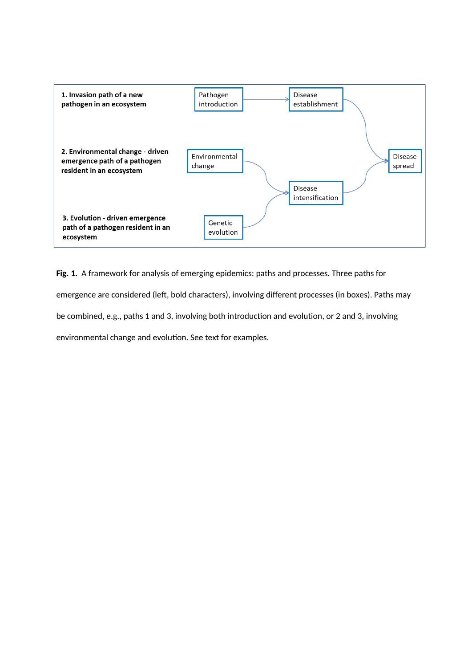

**Fig. 1.** A framework for analysis of emerging epidemics: paths and processes. Three paths for emergence are considered (left, bold characters), involving different processes (in boxes). Paths may be combined, e.g., paths 1 and 3, involving both introduction and evolution, or 2 and 3, involving environmental change and evolution. See text for examples.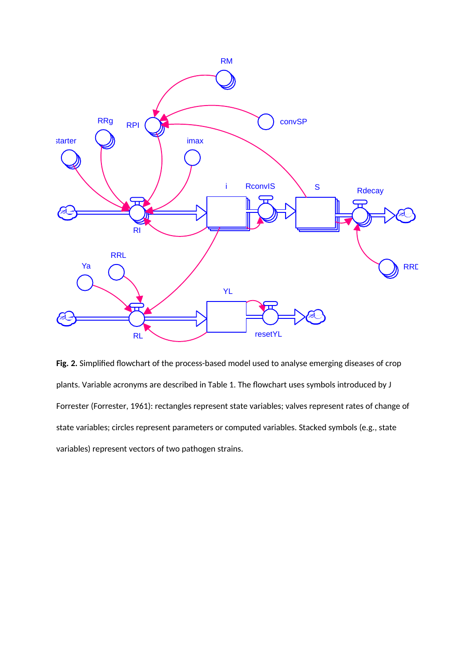

**Fig. 2.** Simplified flowchart of the process-based model used to analyse emerging diseases of crop plants. Variable acronyms are described in Table 1. The flowchart uses symbols introduced by J Forrester (Forrester, 1961): rectangles represent state variables; valves represent rates of change of state variables; circles represent parameters or computed variables. Stacked symbols (e.g., state variables) represent vectors of two pathogen strains.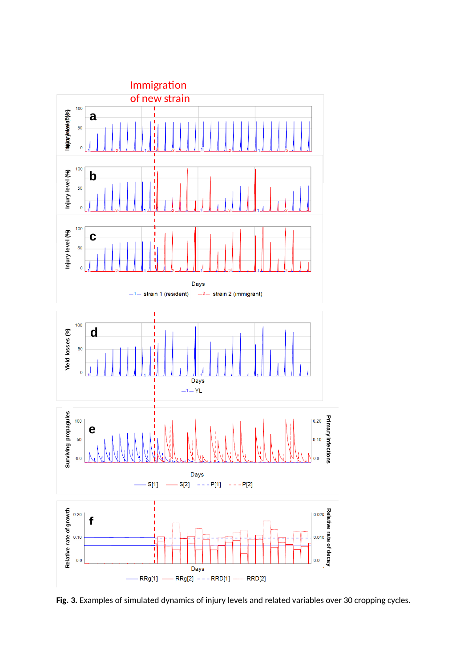

**Fig. 3.** Examples of simulated dynamics of injury levels and related variables over 30 cropping cycles.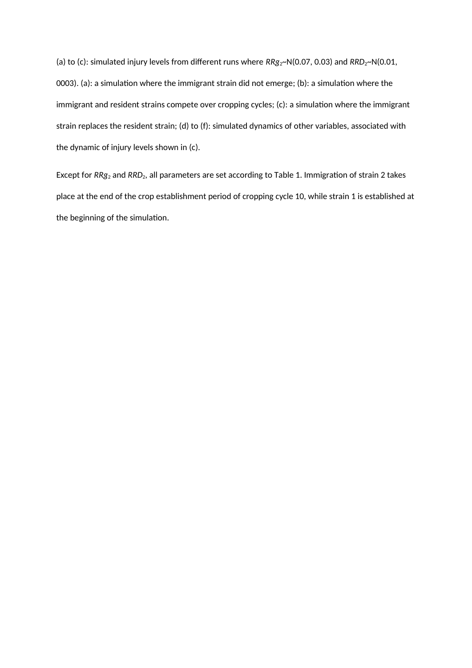(a) to (c): simulated injury levels from different runs where  $RRg_2 \sim N(0.07, 0.03)$  and  $RRD_2 \sim N(0.01,$ 0003). (a): a simulation where the immigrant strain did not emerge; (b): a simulation where the immigrant and resident strains compete over cropping cycles; (c): a simulation where the immigrant strain replaces the resident strain; (d) to (f): simulated dynamics of other variables, associated with the dynamic of injury levels shown in (c).

Except for *RRg*2 and *RRD*2, all parameters are set according to Table 1. Immigration of strain 2 takes place at the end of the crop establishment period of cropping cycle 10, while strain 1 is established at the beginning of the simulation.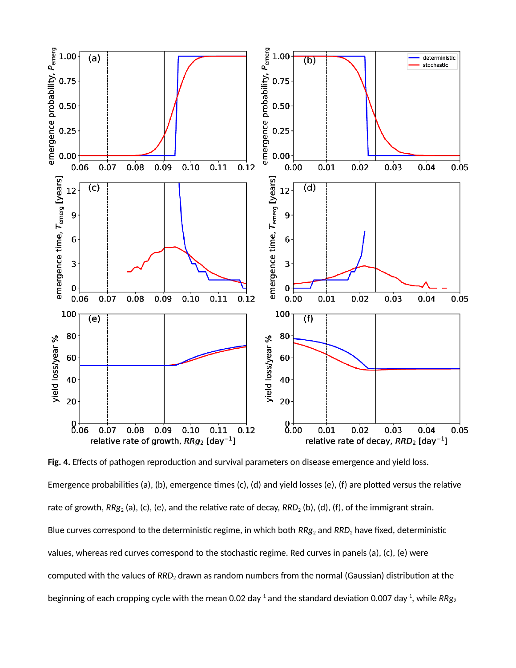

**Fig. 4.** Effects of pathogen reproduction and survival parameters on disease emergence and yield loss. Emergence probabilities (a), (b), emergence times (c), (d) and yield losses (e), (f) are plotted versus the relative rate of growth, *RRg<sub>2</sub>* (a), (c), (e), and the relative rate of decay, *RRD<sub>2</sub>* (b), (d), (f), of the immigrant strain. Blue curves correspond to the deterministic regime, in which both *RRg*2 and *RRD*2 have fixed, deterministic values, whereas red curves correspond to the stochastic regime. Red curves in panels (a), (c), (e) were computed with the values of *RRD*<sub>2</sub> drawn as random numbers from the normal (Gaussian) distribution at the beginning of each cropping cycle with the mean 0.02 day<sup>-1</sup> and the standard deviation 0.007 day<sup>-1</sup>, while *RRg*<sub>2</sub>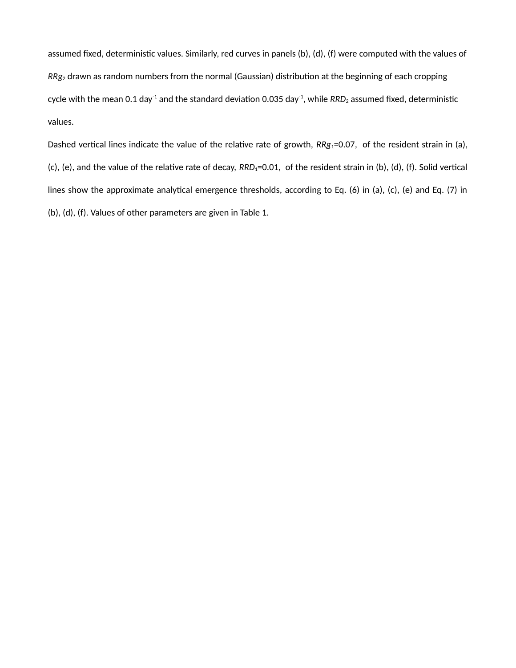assumed fixed, deterministic values. Similarly, red curves in panels (b), (d), (f) were computed with the values of *RRg*2 drawn as random numbers from the normal (Gaussian) distribution at the beginning of each cropping cycle with the mean 0.1 day<sup>-1</sup> and the standard deviation 0.035 day<sup>-1</sup>, while *RRD*<sub>2</sub> assumed fixed, deterministic values.

Dashed vertical lines indicate the value of the relative rate of growth, *RRg*<sub>1</sub>=0.07, of the resident strain in (a), (c), (e), and the value of the relative rate of decay, *RRD*<sub>1</sub>=0.01, of the resident strain in (b), (d), (f). Solid vertical lines show the approximate analytical emergence thresholds, according to Eq. (6) in (a), (c), (e) and Eq. (7) in (b), (d), (f). Values of other parameters are given in Table 1.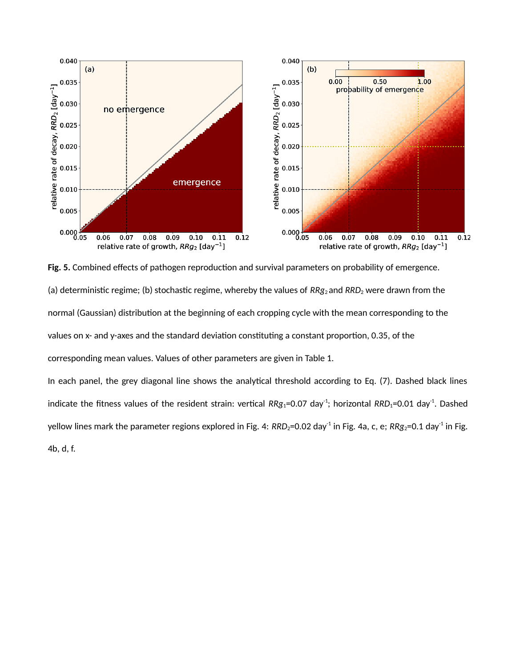

**Fig. 5.** Combined effects of pathogen reproduction and survival parameters on probability of emergence. (a) deterministic regime; (b) stochastic regime, whereby the values of *RRg*<sub>2</sub> and *RRD*<sub>2</sub> were drawn from the normal (Gaussian) distribution at the beginning of each cropping cycle with the mean corresponding to the values on x- and y-axes and the standard deviation constituting a constant proportion, 0.35, of the corresponding mean values. Values of other parameters are given in Table 1.

In each panel, the grey diagonal line shows the analytical threshold according to Eq. (7). Dashed black lines indicate the fitness values of the resident strain: vertical *RRg*<sub>1</sub>=0.07 day<sup>-1</sup>; horizontal *RRD*<sub>1</sub>=0.01 day<sup>-1</sup>. Dashed yellow lines mark the parameter regions explored in Fig. 4: *RRD*<sub>2</sub>=0.02 day<sup>-1</sup> in Fig. 4a, c, e; *RRg*<sub>2</sub>=0.1 day<sup>-1</sup> in Fig. 4b, d, f.